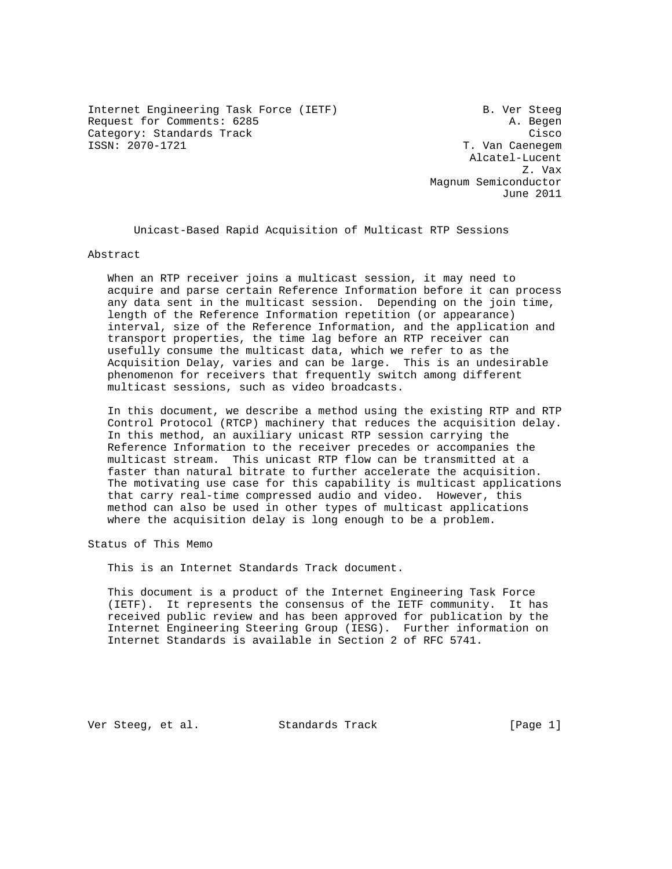Internet Engineering Task Force (IETF) B. Ver Steeg Request for Comments: 6285 A. Begen Category: Standards Track Cisco<br>
SSN: 2070-1721 Cisco<br>
T. Van Caenegem

T. Van Caenegem Alcatel-Lucent z. vax Magnum Semiconductor June 2011

Unicast-Based Rapid Acquisition of Multicast RTP Sessions

Abstract

 When an RTP receiver joins a multicast session, it may need to acquire and parse certain Reference Information before it can process any data sent in the multicast session. Depending on the join time, length of the Reference Information repetition (or appearance) interval, size of the Reference Information, and the application and transport properties, the time lag before an RTP receiver can usefully consume the multicast data, which we refer to as the Acquisition Delay, varies and can be large. This is an undesirable phenomenon for receivers that frequently switch among different multicast sessions, such as video broadcasts.

 In this document, we describe a method using the existing RTP and RTP Control Protocol (RTCP) machinery that reduces the acquisition delay. In this method, an auxiliary unicast RTP session carrying the Reference Information to the receiver precedes or accompanies the multicast stream. This unicast RTP flow can be transmitted at a faster than natural bitrate to further accelerate the acquisition. The motivating use case for this capability is multicast applications that carry real-time compressed audio and video. However, this method can also be used in other types of multicast applications where the acquisition delay is long enough to be a problem.

Status of This Memo

This is an Internet Standards Track document.

 This document is a product of the Internet Engineering Task Force (IETF). It represents the consensus of the IETF community. It has received public review and has been approved for publication by the Internet Engineering Steering Group (IESG). Further information on Internet Standards is available in Section 2 of RFC 5741.

Ver Steeg, et al. Standards Track [Page 1]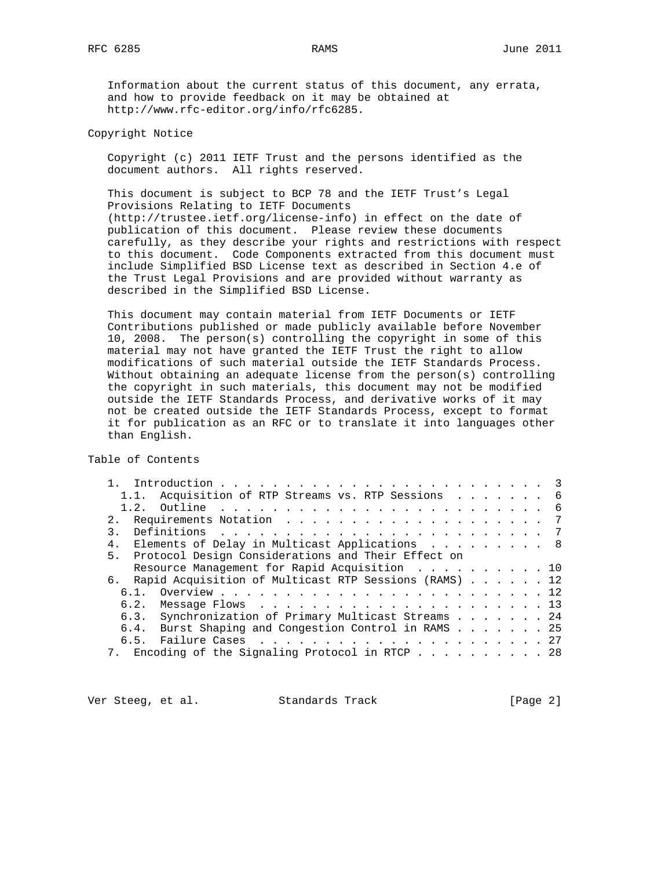Information about the current status of this document, any errata, and how to provide feedback on it may be obtained at http://www.rfc-editor.org/info/rfc6285.

## Copyright Notice

 Copyright (c) 2011 IETF Trust and the persons identified as the document authors. All rights reserved.

 This document is subject to BCP 78 and the IETF Trust's Legal Provisions Relating to IETF Documents (http://trustee.ietf.org/license-info) in effect on the date of publication of this document. Please review these documents carefully, as they describe your rights and restrictions with respect to this document. Code Components extracted from this document must include Simplified BSD License text as described in Section 4.e of the Trust Legal Provisions and are provided without warranty as described in the Simplified BSD License.

 This document may contain material from IETF Documents or IETF Contributions published or made publicly available before November 10, 2008. The person(s) controlling the copyright in some of this material may not have granted the IETF Trust the right to allow modifications of such material outside the IETF Standards Process. Without obtaining an adequate license from the person(s) controlling the copyright in such materials, this document may not be modified outside the IETF Standards Process, and derivative works of it may not be created outside the IETF Standards Process, except to format it for publication as an RFC or to translate it into languages other than English.

Table of Contents

| 1.1. Acquisition of RTP Streams vs. RTP Sessions 6          |  |  |  |  |
|-------------------------------------------------------------|--|--|--|--|
|                                                             |  |  |  |  |
| 2.1                                                         |  |  |  |  |
|                                                             |  |  |  |  |
| 4. Elements of Delay in Multicast Applications 8            |  |  |  |  |
| 5. Protocol Design Considerations and Their Effect on       |  |  |  |  |
| Resource Management for Rapid Acquisition 10                |  |  |  |  |
| Rapid Acquisition of Multicast RTP Sessions (RAMS) 12<br>б. |  |  |  |  |
|                                                             |  |  |  |  |
|                                                             |  |  |  |  |
| 6.3. Synchronization of Primary Multicast Streams 24        |  |  |  |  |
| 6.4. Burst Shaping and Congestion Control in RAMS 25        |  |  |  |  |
| 6.5.                                                        |  |  |  |  |
| 7. Encoding of the Signaling Protocol in RTCP 28            |  |  |  |  |
|                                                             |  |  |  |  |

Ver Steeg, et al. Standards Track [Page 2]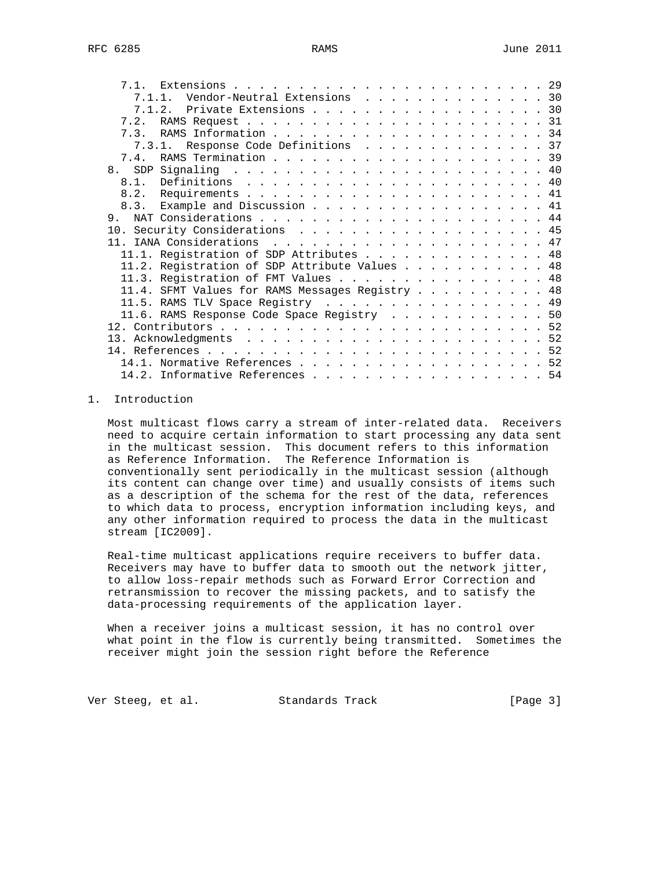| 7.1.1. Vendor-Neutral Extensions 30             |  |  |  |  |  |
|-------------------------------------------------|--|--|--|--|--|
| 7.1.2. Private Extensions 30                    |  |  |  |  |  |
| 7.2.                                            |  |  |  |  |  |
|                                                 |  |  |  |  |  |
| 7.3.1. Response Code Definitions 37             |  |  |  |  |  |
|                                                 |  |  |  |  |  |
|                                                 |  |  |  |  |  |
|                                                 |  |  |  |  |  |
|                                                 |  |  |  |  |  |
| 8.3. Example and Discussion 41                  |  |  |  |  |  |
| $\mathsf{q}$                                    |  |  |  |  |  |
| 10. Security Considerations 45                  |  |  |  |  |  |
|                                                 |  |  |  |  |  |
| 11.1. Registration of SDP Attributes 48         |  |  |  |  |  |
| 11.2. Registration of SDP Attribute Values 48   |  |  |  |  |  |
| 11.3. Registration of FMT Values 48             |  |  |  |  |  |
| 11.4. SFMT Values for RAMS Messages Registry 48 |  |  |  |  |  |
| 11.5. RAMS TLV Space Registry 49                |  |  |  |  |  |
| 11.6. RAMS Response Code Space Registry 50      |  |  |  |  |  |
|                                                 |  |  |  |  |  |
|                                                 |  |  |  |  |  |
|                                                 |  |  |  |  |  |
| 14.1. Normative References 52                   |  |  |  |  |  |
| 14.2. Informative References 54                 |  |  |  |  |  |
|                                                 |  |  |  |  |  |

# 1. Introduction

 Most multicast flows carry a stream of inter-related data. Receivers need to acquire certain information to start processing any data sent in the multicast session. This document refers to this information as Reference Information. The Reference Information is conventionally sent periodically in the multicast session (although its content can change over time) and usually consists of items such as a description of the schema for the rest of the data, references to which data to process, encryption information including keys, and any other information required to process the data in the multicast stream [IC2009].

 Real-time multicast applications require receivers to buffer data. Receivers may have to buffer data to smooth out the network jitter, to allow loss-repair methods such as Forward Error Correction and retransmission to recover the missing packets, and to satisfy the data-processing requirements of the application layer.

 When a receiver joins a multicast session, it has no control over what point in the flow is currently being transmitted. Sometimes the receiver might join the session right before the Reference

Ver Steeg, et al. Standards Track [Page 3]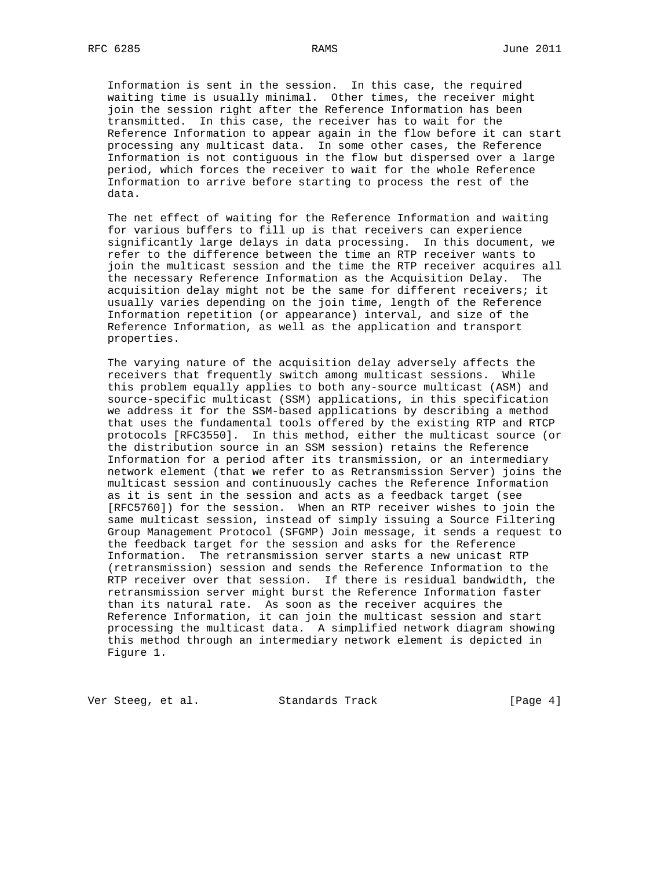Information is sent in the session. In this case, the required waiting time is usually minimal. Other times, the receiver might join the session right after the Reference Information has been transmitted. In this case, the receiver has to wait for the Reference Information to appear again in the flow before it can start processing any multicast data. In some other cases, the Reference Information is not contiguous in the flow but dispersed over a large period, which forces the receiver to wait for the whole Reference Information to arrive before starting to process the rest of the data.

 The net effect of waiting for the Reference Information and waiting for various buffers to fill up is that receivers can experience significantly large delays in data processing. In this document, we refer to the difference between the time an RTP receiver wants to join the multicast session and the time the RTP receiver acquires all the necessary Reference Information as the Acquisition Delay. The acquisition delay might not be the same for different receivers; it usually varies depending on the join time, length of the Reference Information repetition (or appearance) interval, and size of the Reference Information, as well as the application and transport properties.

 The varying nature of the acquisition delay adversely affects the receivers that frequently switch among multicast sessions. While this problem equally applies to both any-source multicast (ASM) and source-specific multicast (SSM) applications, in this specification we address it for the SSM-based applications by describing a method that uses the fundamental tools offered by the existing RTP and RTCP protocols [RFC3550]. In this method, either the multicast source (or the distribution source in an SSM session) retains the Reference Information for a period after its transmission, or an intermediary network element (that we refer to as Retransmission Server) joins the multicast session and continuously caches the Reference Information as it is sent in the session and acts as a feedback target (see [RFC5760]) for the session. When an RTP receiver wishes to join the same multicast session, instead of simply issuing a Source Filtering Group Management Protocol (SFGMP) Join message, it sends a request to the feedback target for the session and asks for the Reference Information. The retransmission server starts a new unicast RTP (retransmission) session and sends the Reference Information to the RTP receiver over that session. If there is residual bandwidth, the retransmission server might burst the Reference Information faster than its natural rate. As soon as the receiver acquires the Reference Information, it can join the multicast session and start processing the multicast data. A simplified network diagram showing this method through an intermediary network element is depicted in Figure 1.

Ver Steeg, et al. Standards Track [Page 4]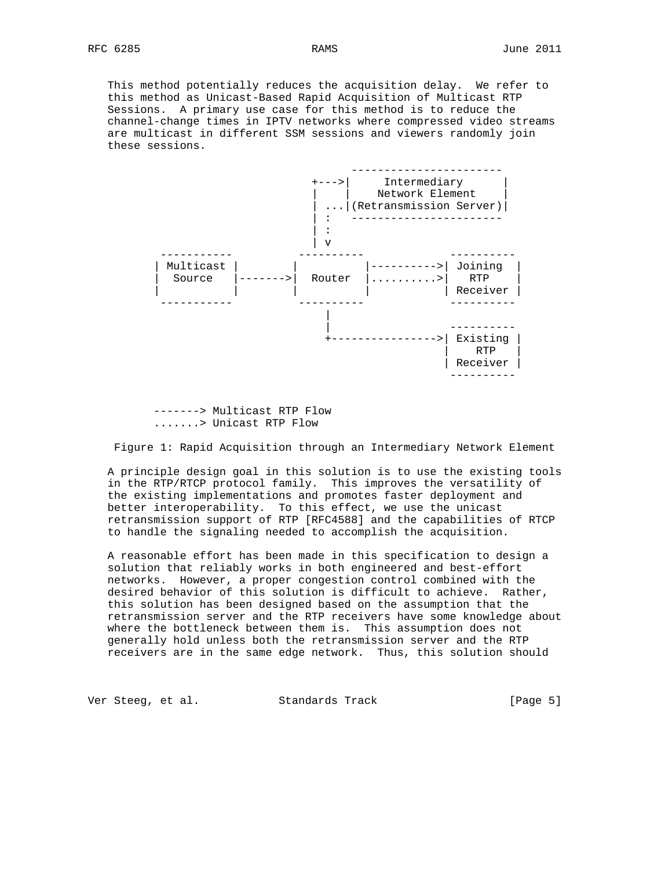This method potentially reduces the acquisition delay. We refer to this method as Unicast-Based Rapid Acquisition of Multicast RTP Sessions. A primary use case for this method is to reduce the channel-change times in IPTV networks where compressed video streams are multicast in different SSM sessions and viewers randomly join these sessions.



 -------> Multicast RTP Flow .......> Unicast RTP Flow

Figure 1: Rapid Acquisition through an Intermediary Network Element

 A principle design goal in this solution is to use the existing tools in the RTP/RTCP protocol family. This improves the versatility of the existing implementations and promotes faster deployment and better interoperability. To this effect, we use the unicast retransmission support of RTP [RFC4588] and the capabilities of RTCP to handle the signaling needed to accomplish the acquisition.

 A reasonable effort has been made in this specification to design a solution that reliably works in both engineered and best-effort networks. However, a proper congestion control combined with the desired behavior of this solution is difficult to achieve. Rather, this solution has been designed based on the assumption that the retransmission server and the RTP receivers have some knowledge about where the bottleneck between them is. This assumption does not generally hold unless both the retransmission server and the RTP receivers are in the same edge network. Thus, this solution should

Ver Steeg, et al. Standards Track [Page 5]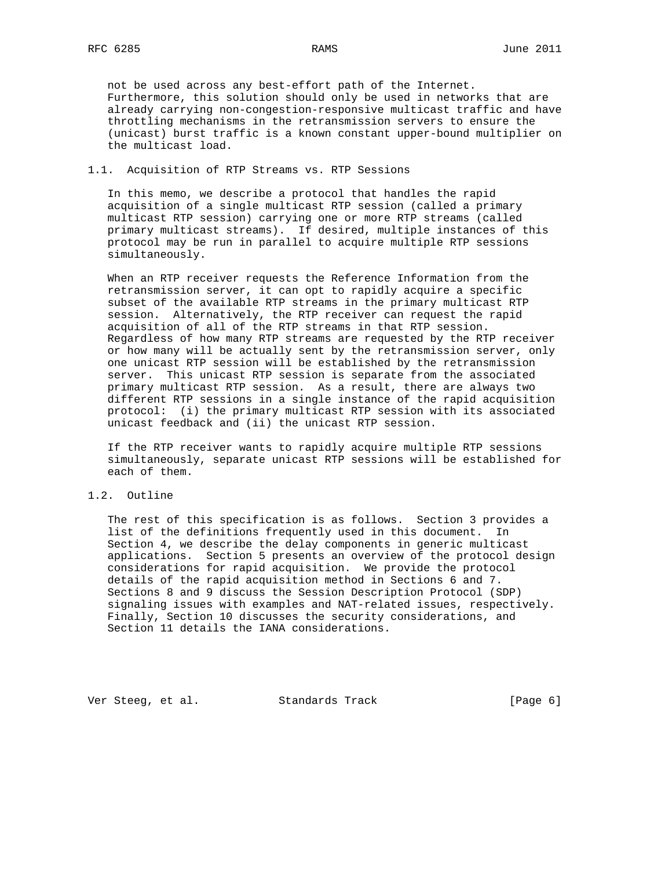not be used across any best-effort path of the Internet. Furthermore, this solution should only be used in networks that are already carrying non-congestion-responsive multicast traffic and have throttling mechanisms in the retransmission servers to ensure the (unicast) burst traffic is a known constant upper-bound multiplier on the multicast load.

## 1.1. Acquisition of RTP Streams vs. RTP Sessions

 In this memo, we describe a protocol that handles the rapid acquisition of a single multicast RTP session (called a primary multicast RTP session) carrying one or more RTP streams (called primary multicast streams). If desired, multiple instances of this protocol may be run in parallel to acquire multiple RTP sessions simultaneously.

 When an RTP receiver requests the Reference Information from the retransmission server, it can opt to rapidly acquire a specific subset of the available RTP streams in the primary multicast RTP session. Alternatively, the RTP receiver can request the rapid acquisition of all of the RTP streams in that RTP session. Regardless of how many RTP streams are requested by the RTP receiver or how many will be actually sent by the retransmission server, only one unicast RTP session will be established by the retransmission server. This unicast RTP session is separate from the associated primary multicast RTP session. As a result, there are always two different RTP sessions in a single instance of the rapid acquisition protocol: (i) the primary multicast RTP session with its associated unicast feedback and (ii) the unicast RTP session.

 If the RTP receiver wants to rapidly acquire multiple RTP sessions simultaneously, separate unicast RTP sessions will be established for each of them.

# 1.2. Outline

 The rest of this specification is as follows. Section 3 provides a list of the definitions frequently used in this document. In Section 4, we describe the delay components in generic multicast applications. Section 5 presents an overview of the protocol design considerations for rapid acquisition. We provide the protocol details of the rapid acquisition method in Sections 6 and 7. Sections 8 and 9 discuss the Session Description Protocol (SDP) signaling issues with examples and NAT-related issues, respectively. Finally, Section 10 discusses the security considerations, and Section 11 details the IANA considerations.

Ver Steeg, et al. Standards Track [Page 6]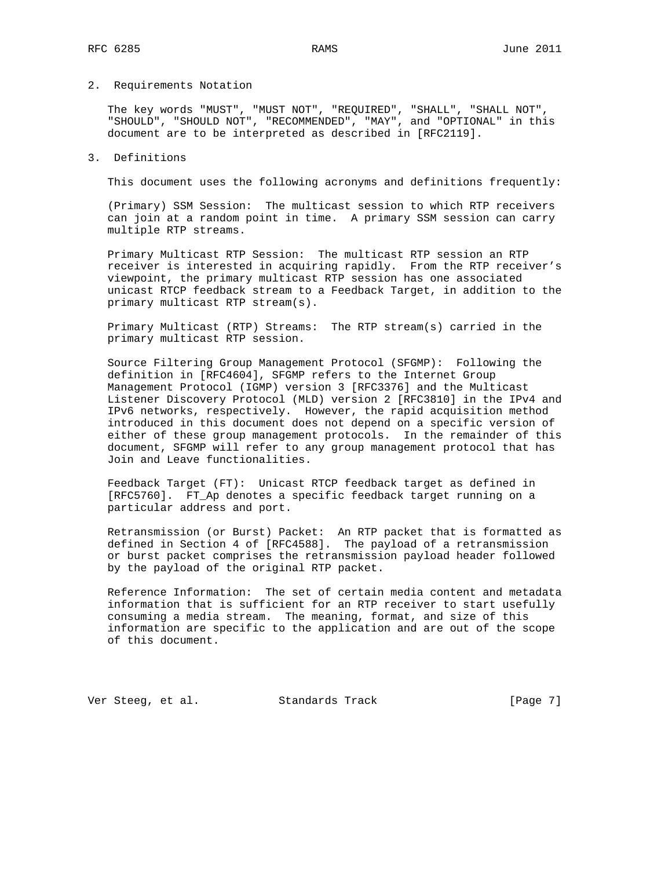## 2. Requirements Notation

 The key words "MUST", "MUST NOT", "REQUIRED", "SHALL", "SHALL NOT", "SHOULD", "SHOULD NOT", "RECOMMENDED", "MAY", and "OPTIONAL" in this document are to be interpreted as described in [RFC2119].

## 3. Definitions

This document uses the following acronyms and definitions frequently:

 (Primary) SSM Session: The multicast session to which RTP receivers can join at a random point in time. A primary SSM session can carry multiple RTP streams.

 Primary Multicast RTP Session: The multicast RTP session an RTP receiver is interested in acquiring rapidly. From the RTP receiver's viewpoint, the primary multicast RTP session has one associated unicast RTCP feedback stream to a Feedback Target, in addition to the primary multicast RTP stream(s).

 Primary Multicast (RTP) Streams: The RTP stream(s) carried in the primary multicast RTP session.

 Source Filtering Group Management Protocol (SFGMP): Following the definition in [RFC4604], SFGMP refers to the Internet Group Management Protocol (IGMP) version 3 [RFC3376] and the Multicast Listener Discovery Protocol (MLD) version 2 [RFC3810] in the IPv4 and IPv6 networks, respectively. However, the rapid acquisition method introduced in this document does not depend on a specific version of either of these group management protocols. In the remainder of this document, SFGMP will refer to any group management protocol that has Join and Leave functionalities.

 Feedback Target (FT): Unicast RTCP feedback target as defined in [RFC5760]. FT\_Ap denotes a specific feedback target running on a particular address and port.

 Retransmission (or Burst) Packet: An RTP packet that is formatted as defined in Section 4 of [RFC4588]. The payload of a retransmission or burst packet comprises the retransmission payload header followed by the payload of the original RTP packet.

 Reference Information: The set of certain media content and metadata information that is sufficient for an RTP receiver to start usefully consuming a media stream. The meaning, format, and size of this information are specific to the application and are out of the scope of this document.

Ver Steeg, et al. Standards Track [Page 7]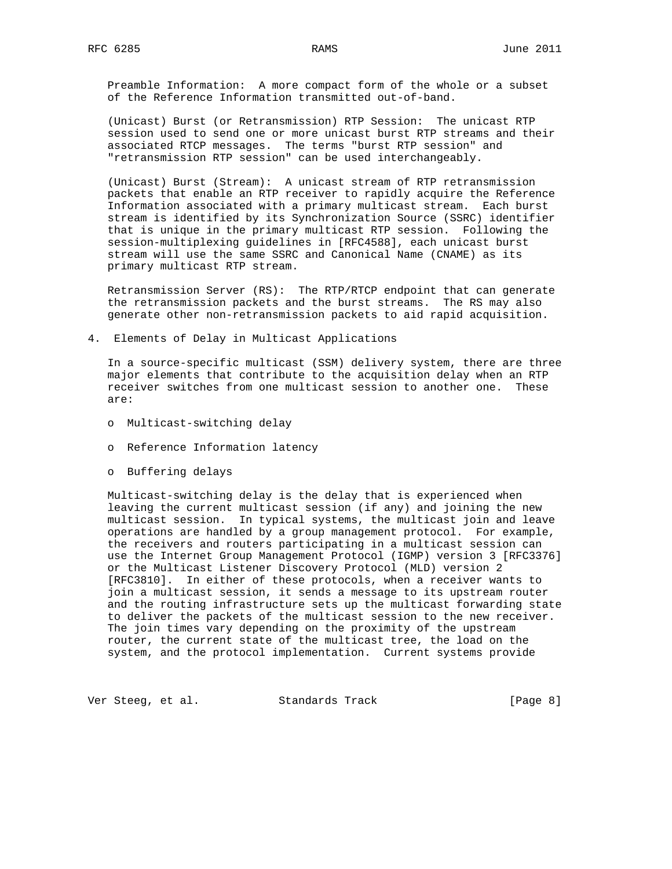Preamble Information: A more compact form of the whole or a subset of the Reference Information transmitted out-of-band.

 (Unicast) Burst (or Retransmission) RTP Session: The unicast RTP session used to send one or more unicast burst RTP streams and their associated RTCP messages. The terms "burst RTP session" and "retransmission RTP session" can be used interchangeably.

 (Unicast) Burst (Stream): A unicast stream of RTP retransmission packets that enable an RTP receiver to rapidly acquire the Reference Information associated with a primary multicast stream. Each burst stream is identified by its Synchronization Source (SSRC) identifier that is unique in the primary multicast RTP session. Following the session-multiplexing guidelines in [RFC4588], each unicast burst stream will use the same SSRC and Canonical Name (CNAME) as its primary multicast RTP stream.

 Retransmission Server (RS): The RTP/RTCP endpoint that can generate the retransmission packets and the burst streams. The RS may also generate other non-retransmission packets to aid rapid acquisition.

4. Elements of Delay in Multicast Applications

 In a source-specific multicast (SSM) delivery system, there are three major elements that contribute to the acquisition delay when an RTP receiver switches from one multicast session to another one. These are:

- o Multicast-switching delay
- o Reference Information latency
- o Buffering delays

 Multicast-switching delay is the delay that is experienced when leaving the current multicast session (if any) and joining the new multicast session. In typical systems, the multicast join and leave operations are handled by a group management protocol. For example, the receivers and routers participating in a multicast session can use the Internet Group Management Protocol (IGMP) version 3 [RFC3376] or the Multicast Listener Discovery Protocol (MLD) version 2 [RFC3810]. In either of these protocols, when a receiver wants to join a multicast session, it sends a message to its upstream router and the routing infrastructure sets up the multicast forwarding state to deliver the packets of the multicast session to the new receiver. The join times vary depending on the proximity of the upstream router, the current state of the multicast tree, the load on the system, and the protocol implementation. Current systems provide

Ver Steeg, et al. Standards Track [Page 8]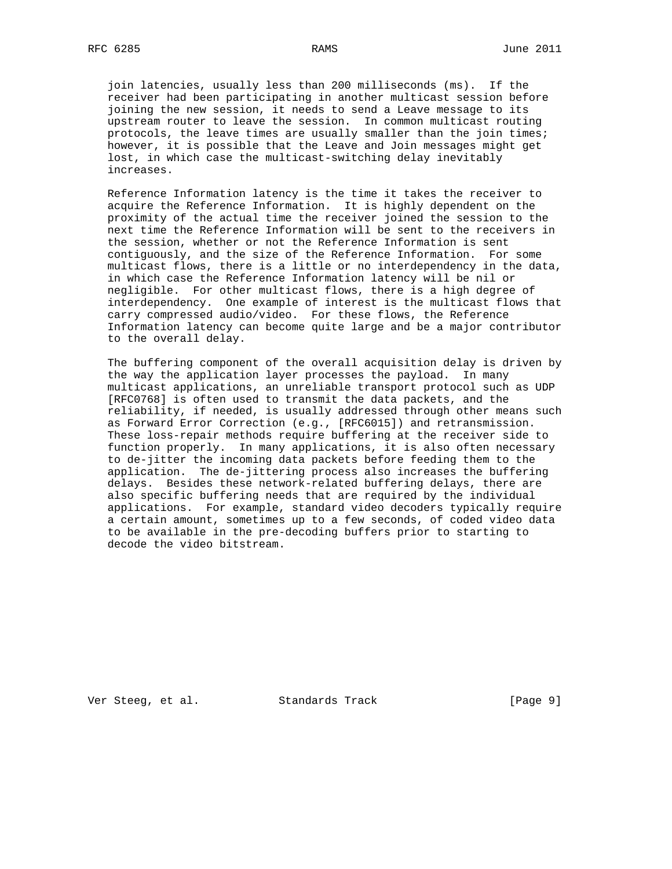join latencies, usually less than 200 milliseconds (ms). If the receiver had been participating in another multicast session before joining the new session, it needs to send a Leave message to its upstream router to leave the session. In common multicast routing protocols, the leave times are usually smaller than the join times; however, it is possible that the Leave and Join messages might get lost, in which case the multicast-switching delay inevitably increases.

 Reference Information latency is the time it takes the receiver to acquire the Reference Information. It is highly dependent on the proximity of the actual time the receiver joined the session to the next time the Reference Information will be sent to the receivers in the session, whether or not the Reference Information is sent contiguously, and the size of the Reference Information. For some multicast flows, there is a little or no interdependency in the data, in which case the Reference Information latency will be nil or negligible. For other multicast flows, there is a high degree of interdependency. One example of interest is the multicast flows that carry compressed audio/video. For these flows, the Reference Information latency can become quite large and be a major contributor to the overall delay.

 The buffering component of the overall acquisition delay is driven by the way the application layer processes the payload. In many multicast applications, an unreliable transport protocol such as UDP [RFC0768] is often used to transmit the data packets, and the reliability, if needed, is usually addressed through other means such as Forward Error Correction (e.g., [RFC6015]) and retransmission. These loss-repair methods require buffering at the receiver side to function properly. In many applications, it is also often necessary to de-jitter the incoming data packets before feeding them to the application. The de-jittering process also increases the buffering delays. Besides these network-related buffering delays, there are also specific buffering needs that are required by the individual applications. For example, standard video decoders typically require a certain amount, sometimes up to a few seconds, of coded video data to be available in the pre-decoding buffers prior to starting to decode the video bitstream.

Ver Steeg, et al. Standards Track [Page 9]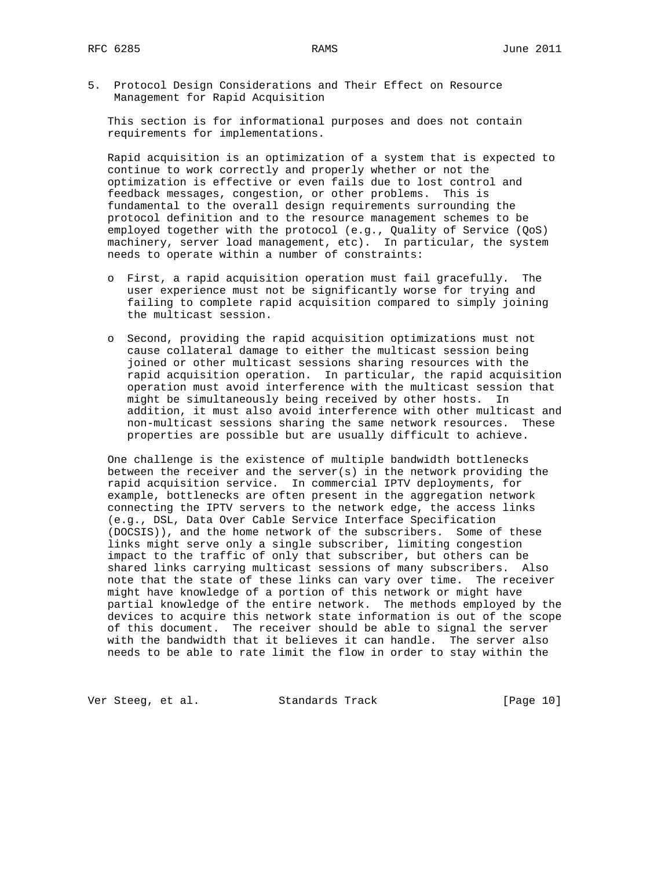5. Protocol Design Considerations and Their Effect on Resource Management for Rapid Acquisition

 This section is for informational purposes and does not contain requirements for implementations.

 Rapid acquisition is an optimization of a system that is expected to continue to work correctly and properly whether or not the optimization is effective or even fails due to lost control and feedback messages, congestion, or other problems. This is fundamental to the overall design requirements surrounding the protocol definition and to the resource management schemes to be employed together with the protocol (e.g., Quality of Service (QoS) machinery, server load management, etc). In particular, the system needs to operate within a number of constraints:

- o First, a rapid acquisition operation must fail gracefully. The user experience must not be significantly worse for trying and failing to complete rapid acquisition compared to simply joining the multicast session.
- o Second, providing the rapid acquisition optimizations must not cause collateral damage to either the multicast session being joined or other multicast sessions sharing resources with the rapid acquisition operation. In particular, the rapid acquisition operation must avoid interference with the multicast session that might be simultaneously being received by other hosts. In addition, it must also avoid interference with other multicast and non-multicast sessions sharing the same network resources. These properties are possible but are usually difficult to achieve.

 One challenge is the existence of multiple bandwidth bottlenecks between the receiver and the server(s) in the network providing the rapid acquisition service. In commercial IPTV deployments, for example, bottlenecks are often present in the aggregation network connecting the IPTV servers to the network edge, the access links (e.g., DSL, Data Over Cable Service Interface Specification (DOCSIS)), and the home network of the subscribers. Some of these links might serve only a single subscriber, limiting congestion impact to the traffic of only that subscriber, but others can be shared links carrying multicast sessions of many subscribers. Also note that the state of these links can vary over time. The receiver might have knowledge of a portion of this network or might have partial knowledge of the entire network. The methods employed by the devices to acquire this network state information is out of the scope of this document. The receiver should be able to signal the server with the bandwidth that it believes it can handle. The server also needs to be able to rate limit the flow in order to stay within the

Ver Steeg, et al. Standards Track [Page 10]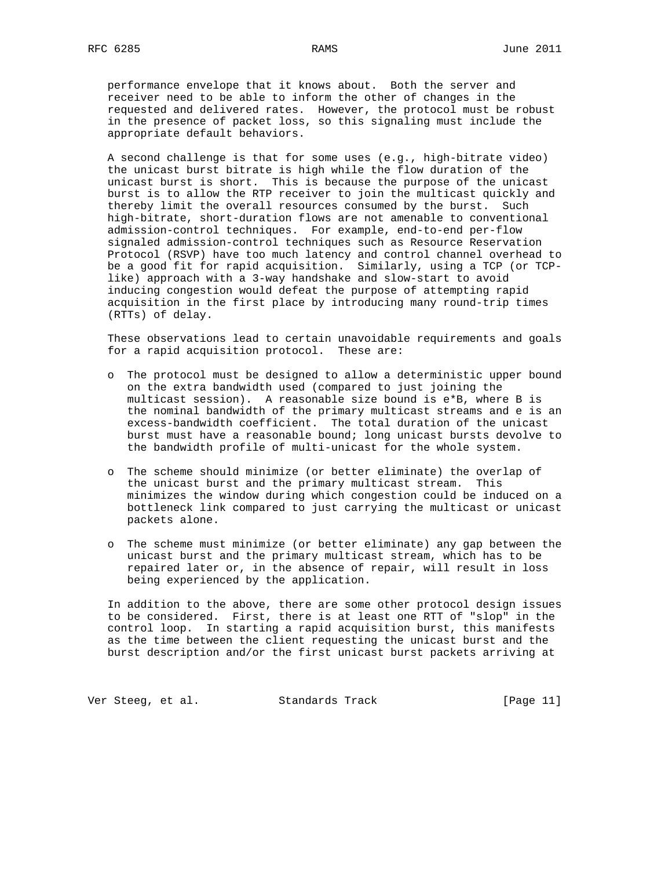performance envelope that it knows about. Both the server and receiver need to be able to inform the other of changes in the requested and delivered rates. However, the protocol must be robust in the presence of packet loss, so this signaling must include the appropriate default behaviors.

 A second challenge is that for some uses (e.g., high-bitrate video) the unicast burst bitrate is high while the flow duration of the unicast burst is short. This is because the purpose of the unicast burst is to allow the RTP receiver to join the multicast quickly and thereby limit the overall resources consumed by the burst. Such high-bitrate, short-duration flows are not amenable to conventional admission-control techniques. For example, end-to-end per-flow signaled admission-control techniques such as Resource Reservation Protocol (RSVP) have too much latency and control channel overhead to be a good fit for rapid acquisition. Similarly, using a TCP (or TCP like) approach with a 3-way handshake and slow-start to avoid inducing congestion would defeat the purpose of attempting rapid acquisition in the first place by introducing many round-trip times (RTTs) of delay.

 These observations lead to certain unavoidable requirements and goals for a rapid acquisition protocol. These are:

- o The protocol must be designed to allow a deterministic upper bound on the extra bandwidth used (compared to just joining the multicast session). A reasonable size bound is e\*B, where B is the nominal bandwidth of the primary multicast streams and e is an excess-bandwidth coefficient. The total duration of the unicast burst must have a reasonable bound; long unicast bursts devolve to the bandwidth profile of multi-unicast for the whole system.
- o The scheme should minimize (or better eliminate) the overlap of the unicast burst and the primary multicast stream. This minimizes the window during which congestion could be induced on a bottleneck link compared to just carrying the multicast or unicast packets alone.
- o The scheme must minimize (or better eliminate) any gap between the unicast burst and the primary multicast stream, which has to be repaired later or, in the absence of repair, will result in loss being experienced by the application.

 In addition to the above, there are some other protocol design issues to be considered. First, there is at least one RTT of "slop" in the control loop. In starting a rapid acquisition burst, this manifests as the time between the client requesting the unicast burst and the burst description and/or the first unicast burst packets arriving at

Ver Steeg, et al. Standards Track [Page 11]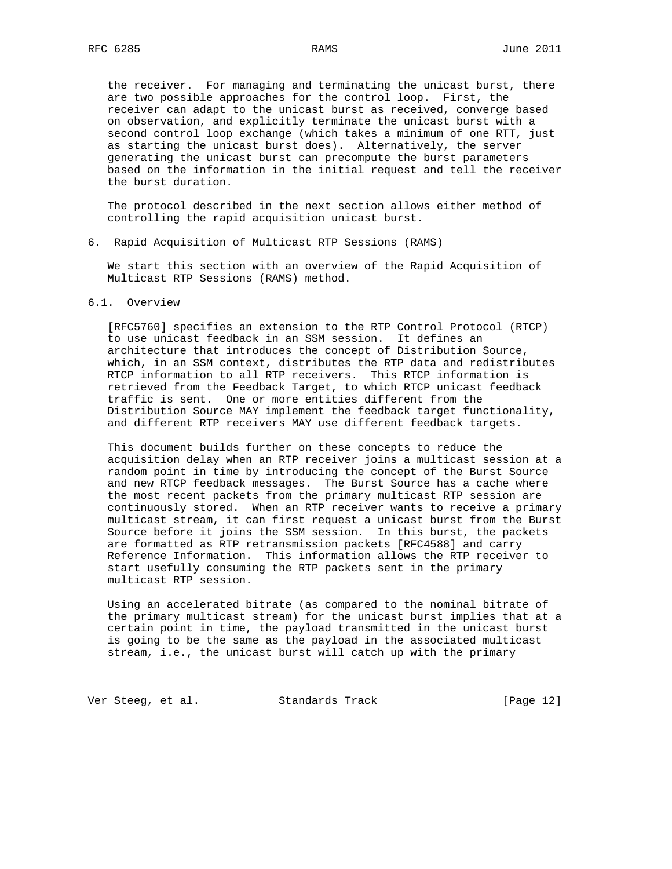the receiver. For managing and terminating the unicast burst, there are two possible approaches for the control loop. First, the receiver can adapt to the unicast burst as received, converge based on observation, and explicitly terminate the unicast burst with a second control loop exchange (which takes a minimum of one RTT, just as starting the unicast burst does). Alternatively, the server generating the unicast burst can precompute the burst parameters based on the information in the initial request and tell the receiver the burst duration.

 The protocol described in the next section allows either method of controlling the rapid acquisition unicast burst.

6. Rapid Acquisition of Multicast RTP Sessions (RAMS)

 We start this section with an overview of the Rapid Acquisition of Multicast RTP Sessions (RAMS) method.

## 6.1. Overview

 [RFC5760] specifies an extension to the RTP Control Protocol (RTCP) to use unicast feedback in an SSM session. It defines an architecture that introduces the concept of Distribution Source, which, in an SSM context, distributes the RTP data and redistributes RTCP information to all RTP receivers. This RTCP information is retrieved from the Feedback Target, to which RTCP unicast feedback traffic is sent. One or more entities different from the Distribution Source MAY implement the feedback target functionality, and different RTP receivers MAY use different feedback targets.

 This document builds further on these concepts to reduce the acquisition delay when an RTP receiver joins a multicast session at a random point in time by introducing the concept of the Burst Source and new RTCP feedback messages. The Burst Source has a cache where the most recent packets from the primary multicast RTP session are continuously stored. When an RTP receiver wants to receive a primary multicast stream, it can first request a unicast burst from the Burst Source before it joins the SSM session. In this burst, the packets are formatted as RTP retransmission packets [RFC4588] and carry Reference Information. This information allows the RTP receiver to start usefully consuming the RTP packets sent in the primary multicast RTP session.

 Using an accelerated bitrate (as compared to the nominal bitrate of the primary multicast stream) for the unicast burst implies that at a certain point in time, the payload transmitted in the unicast burst is going to be the same as the payload in the associated multicast stream, i.e., the unicast burst will catch up with the primary

Ver Steeg, et al. Standards Track [Page 12]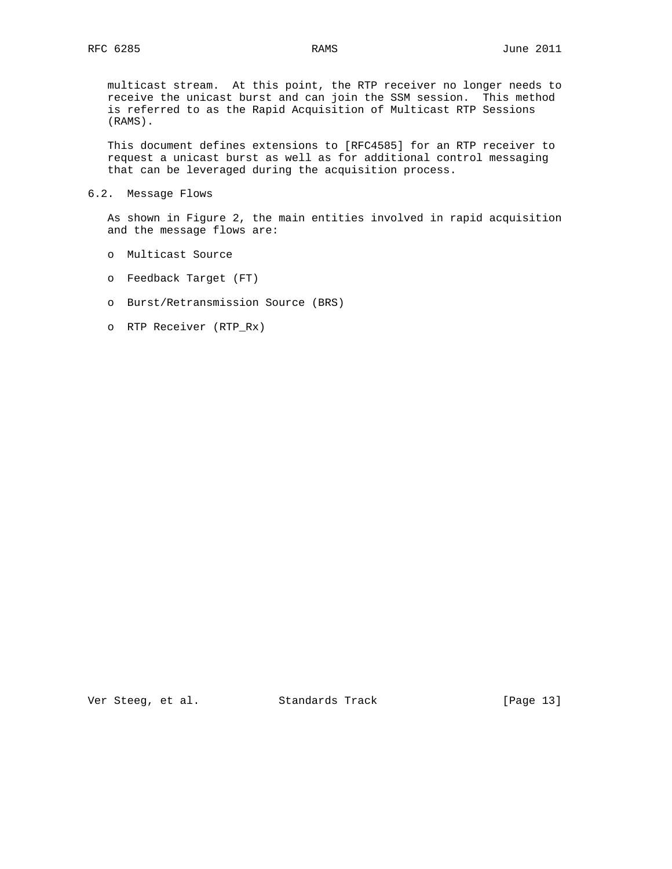multicast stream. At this point, the RTP receiver no longer needs to receive the unicast burst and can join the SSM session. This method is referred to as the Rapid Acquisition of Multicast RTP Sessions (RAMS).

 This document defines extensions to [RFC4585] for an RTP receiver to request a unicast burst as well as for additional control messaging that can be leveraged during the acquisition process.

6.2. Message Flows

 As shown in Figure 2, the main entities involved in rapid acquisition and the message flows are:

- o Multicast Source
- o Feedback Target (FT)
- o Burst/Retransmission Source (BRS)
- o RTP Receiver (RTP\_Rx)

Ver Steeg, et al. Standards Track [Page 13]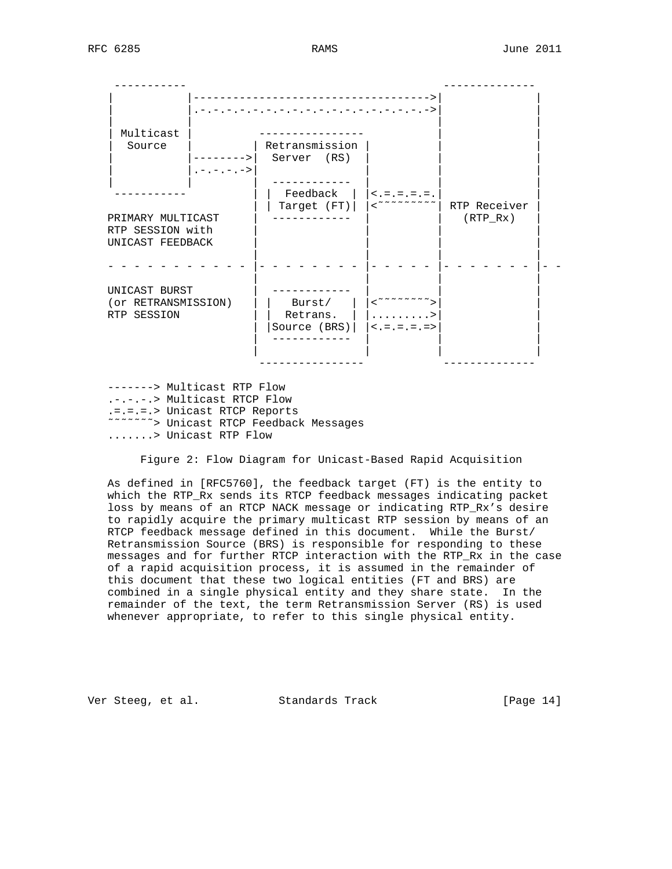----------- -------------- ------------------------------->| | |.-.-.-.-.-.-.-.-.-.-.-.-.-.-.-.-.-.->| | | | | | | Multicast | ---------------- | | | Source | | Retransmission | | | |-------->| Server (RS)  $| .- .- .- .- \rangle$  | | | ------------ | | | ----------- | | Feedback | |<.=.=.=.=.| | | | Target (FT)| |<˜˜˜˜˜˜˜˜˜| RTP Receiver | PRIMARY MULTICAST | ------------ | | (RTP\_Rx) | RTP SESSION with UNICAST FEEDBACK | | | | - - - - - - - - - - - |- - - - - - - - |- - - - - |- - - - - - - |- - | | | | UNICAST BURST | ------------ | | | (or RETRANSMISSION) | | Burst/ | |<˜˜˜˜˜˜˜˜>| | RTP SESSION  $\vert \vert$  Retrans.  $\vert \vert$  .........>| | | |Source (BRS)| |<.=.=.=.=>| | | ------------ | | | | | | | ---------------- -------------- -------> Multicast RTP Flow

 .-.-.-.> Multicast RTCP Flow .=.=.=.> Unicast RTCP Reports ˜˜˜˜˜˜˜> Unicast RTCP Feedback Messages .......> Unicast RTP Flow

Figure 2: Flow Diagram for Unicast-Based Rapid Acquisition

 As defined in [RFC5760], the feedback target (FT) is the entity to which the RTP\_Rx sends its RTCP feedback messages indicating packet loss by means of an RTCP NACK message or indicating RTP\_Rx's desire to rapidly acquire the primary multicast RTP session by means of an RTCP feedback message defined in this document. While the Burst/ Retransmission Source (BRS) is responsible for responding to these messages and for further RTCP interaction with the RTP\_Rx in the case of a rapid acquisition process, it is assumed in the remainder of this document that these two logical entities (FT and BRS) are combined in a single physical entity and they share state. In the remainder of the text, the term Retransmission Server (RS) is used whenever appropriate, to refer to this single physical entity.

Ver Steeg, et al. Standards Track [Page 14]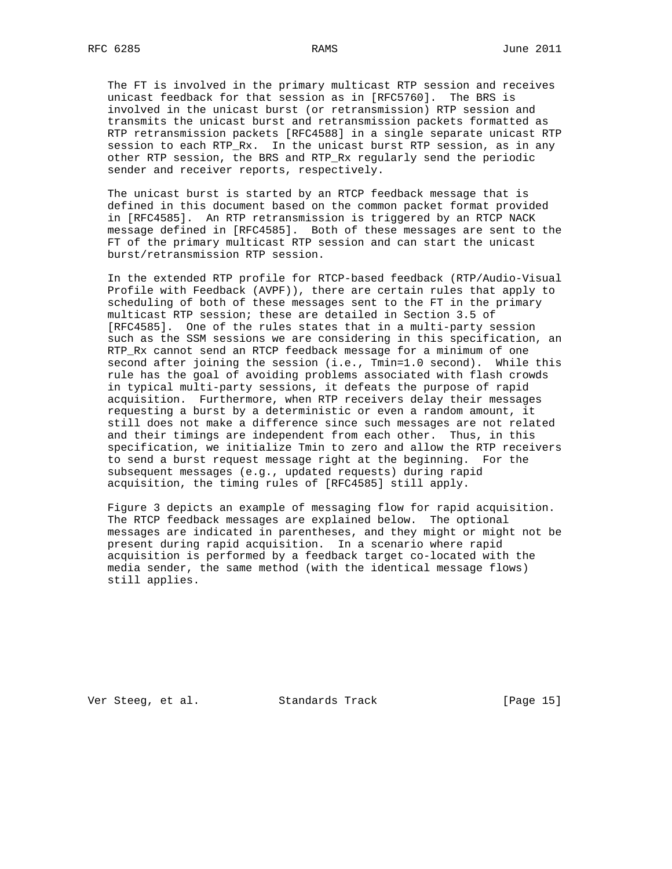The FT is involved in the primary multicast RTP session and receives unicast feedback for that session as in [RFC5760]. The BRS is involved in the unicast burst (or retransmission) RTP session and transmits the unicast burst and retransmission packets formatted as RTP retransmission packets [RFC4588] in a single separate unicast RTP session to each RTP\_Rx. In the unicast burst RTP session, as in any other RTP session, the BRS and RTP\_Rx regularly send the periodic sender and receiver reports, respectively.

 The unicast burst is started by an RTCP feedback message that is defined in this document based on the common packet format provided in [RFC4585]. An RTP retransmission is triggered by an RTCP NACK message defined in [RFC4585]. Both of these messages are sent to the FT of the primary multicast RTP session and can start the unicast burst/retransmission RTP session.

 In the extended RTP profile for RTCP-based feedback (RTP/Audio-Visual Profile with Feedback (AVPF)), there are certain rules that apply to scheduling of both of these messages sent to the FT in the primary multicast RTP session; these are detailed in Section 3.5 of [RFC4585]. One of the rules states that in a multi-party session such as the SSM sessions we are considering in this specification, an RTP\_Rx cannot send an RTCP feedback message for a minimum of one second after joining the session (i.e., Tmin=1.0 second). While this rule has the goal of avoiding problems associated with flash crowds in typical multi-party sessions, it defeats the purpose of rapid acquisition. Furthermore, when RTP receivers delay their messages requesting a burst by a deterministic or even a random amount, it still does not make a difference since such messages are not related and their timings are independent from each other. Thus, in this specification, we initialize Tmin to zero and allow the RTP receivers to send a burst request message right at the beginning. For the subsequent messages (e.g., updated requests) during rapid acquisition, the timing rules of [RFC4585] still apply.

 Figure 3 depicts an example of messaging flow for rapid acquisition. The RTCP feedback messages are explained below. The optional messages are indicated in parentheses, and they might or might not be present during rapid acquisition. In a scenario where rapid acquisition is performed by a feedback target co-located with the media sender, the same method (with the identical message flows) still applies.

Ver Steeg, et al. Standards Track [Page 15]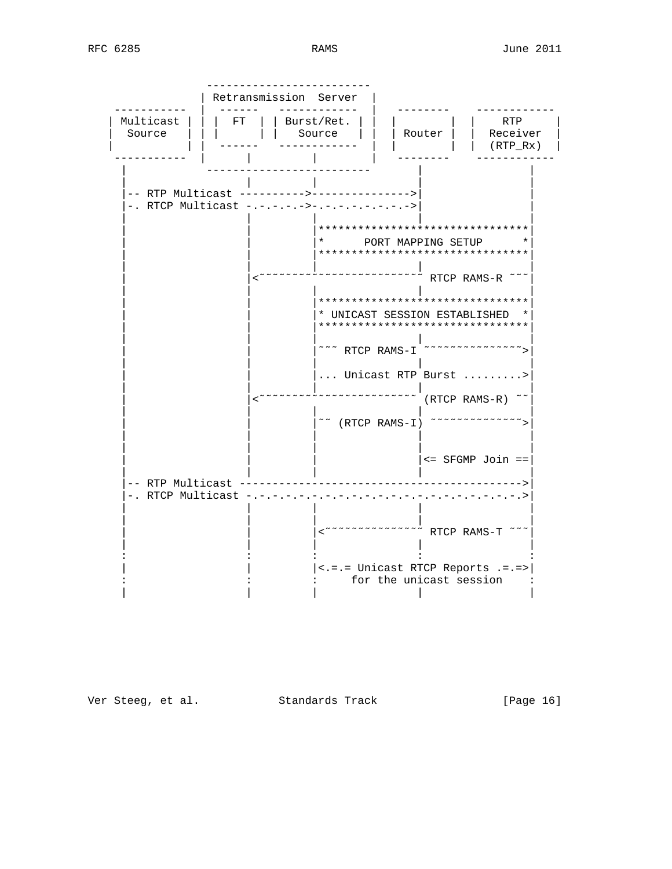|                                                                | Retransmission Server |                                                                                                                                                                                                                        |                                   |                               |
|----------------------------------------------------------------|-----------------------|------------------------------------------------------------------------------------------------------------------------------------------------------------------------------------------------------------------------|-----------------------------------|-------------------------------|
| Multicast<br>Source                                            | FT                    | Burst/Ret.<br>Source                                                                                                                                                                                                   | Router                            | RTP<br>Receiver<br>$(RTP_Rx)$ |
| -- RTP Multicast -<br>. RTCP Multicast $-$ . $-$ . $-$ . $-$ . |                       | $-5 - 1 - 1 - 1 - 1 - 1 - 1 - 1 - 1$<br>********************************<br>********************************<br>********************************<br>* UNICAST SESSION ESTABLISHED *<br>******************************* | PORT MAPPING SETUP<br>RTCP RAMS-R |                               |
|                                                                |                       | Unicast RTP Burst<br>$\tilde{C}$ (RTCP RAMS-I)                                                                                                                                                                         |                                   | $(RTCP RAMS-R)$ ~~            |
| -- RTP Multicast<br>. RTCP Multicast                           |                       | $\sim$ $\sim$ $\sim$ $\sim$ $\sim$ $\sim$ $\sim$ RTCP RAMS-T $\sim$ $\sim$                                                                                                                                             |                                   | <= SFGMP Join ==              |
|                                                                |                       | <.=.= Unicast RTCP Reports .=.=><br>for the unicast session                                                                                                                                                            |                                   |                               |

Ver Steeg, et al. Standards Track

[Page 16]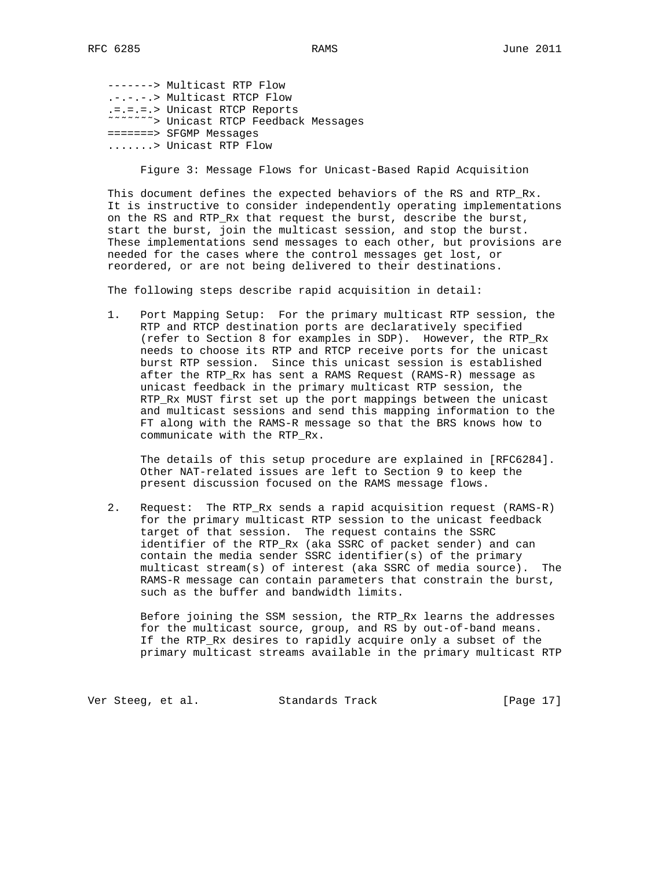-------> Multicast RTP Flow .-.-.-.> Multicast RTCP Flow .=.=.=.> Unicast RTCP Reports ˜˜˜˜˜˜˜> Unicast RTCP Feedback Messages =======> SFGMP Messages .......> Unicast RTP Flow

Figure 3: Message Flows for Unicast-Based Rapid Acquisition

 This document defines the expected behaviors of the RS and RTP\_Rx. It is instructive to consider independently operating implementations on the RS and RTP\_Rx that request the burst, describe the burst, start the burst, join the multicast session, and stop the burst. These implementations send messages to each other, but provisions are needed for the cases where the control messages get lost, or reordered, or are not being delivered to their destinations.

The following steps describe rapid acquisition in detail:

 1. Port Mapping Setup: For the primary multicast RTP session, the RTP and RTCP destination ports are declaratively specified (refer to Section 8 for examples in SDP). However, the RTP\_Rx needs to choose its RTP and RTCP receive ports for the unicast burst RTP session. Since this unicast session is established after the RTP\_Rx has sent a RAMS Request (RAMS-R) message as unicast feedback in the primary multicast RTP session, the RTP\_Rx MUST first set up the port mappings between the unicast and multicast sessions and send this mapping information to the FT along with the RAMS-R message so that the BRS knows how to communicate with the RTP\_Rx.

 The details of this setup procedure are explained in [RFC6284]. Other NAT-related issues are left to Section 9 to keep the present discussion focused on the RAMS message flows.

 2. Request: The RTP\_Rx sends a rapid acquisition request (RAMS-R) for the primary multicast RTP session to the unicast feedback target of that session. The request contains the SSRC identifier of the RTP\_Rx (aka SSRC of packet sender) and can contain the media sender SSRC identifier(s) of the primary multicast stream(s) of interest (aka SSRC of media source). The RAMS-R message can contain parameters that constrain the burst, such as the buffer and bandwidth limits.

 Before joining the SSM session, the RTP\_Rx learns the addresses for the multicast source, group, and RS by out-of-band means. If the RTP\_Rx desires to rapidly acquire only a subset of the primary multicast streams available in the primary multicast RTP

Ver Steeg, et al. Standards Track [Page 17]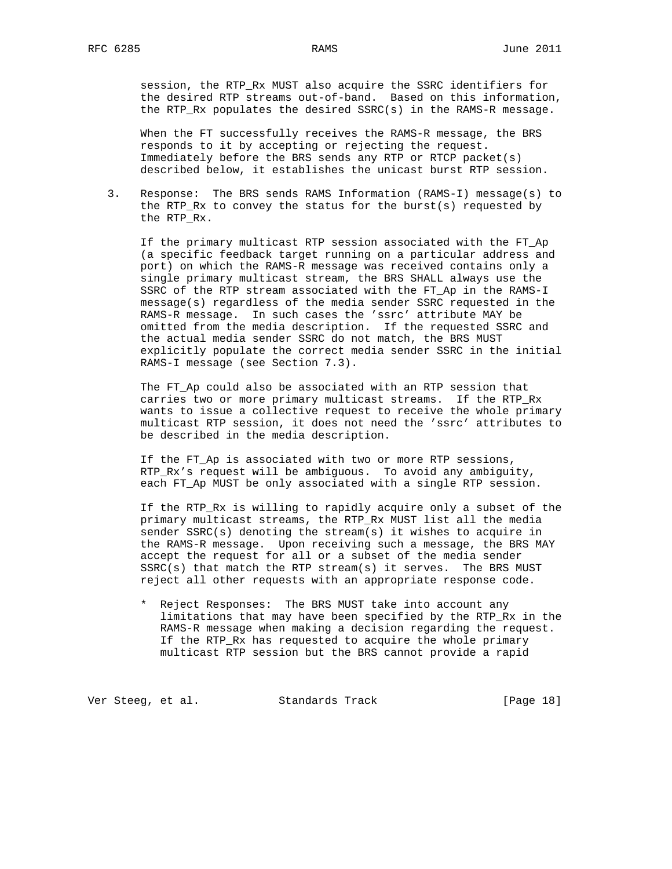session, the RTP\_Rx MUST also acquire the SSRC identifiers for the desired RTP streams out-of-band. Based on this information, the RTP\_Rx populates the desired SSRC(s) in the RAMS-R message.

 When the FT successfully receives the RAMS-R message, the BRS responds to it by accepting or rejecting the request. Immediately before the BRS sends any RTP or RTCP packet(s) described below, it establishes the unicast burst RTP session.

 3. Response: The BRS sends RAMS Information (RAMS-I) message(s) to the RTP\_Rx to convey the status for the burst(s) requested by the RTP\_Rx.

 If the primary multicast RTP session associated with the FT\_Ap (a specific feedback target running on a particular address and port) on which the RAMS-R message was received contains only a single primary multicast stream, the BRS SHALL always use the SSRC of the RTP stream associated with the FT\_Ap in the RAMS-I message(s) regardless of the media sender SSRC requested in the RAMS-R message. In such cases the 'ssrc' attribute MAY be omitted from the media description. If the requested SSRC and the actual media sender SSRC do not match, the BRS MUST explicitly populate the correct media sender SSRC in the initial RAMS-I message (see Section 7.3).

 The FT\_Ap could also be associated with an RTP session that carries two or more primary multicast streams. If the RTP\_Rx wants to issue a collective request to receive the whole primary multicast RTP session, it does not need the 'ssrc' attributes to be described in the media description.

 If the FT\_Ap is associated with two or more RTP sessions, RTP\_Rx's request will be ambiguous. To avoid any ambiguity, each FT Ap MUST be only associated with a single RTP session.

 If the RTP\_Rx is willing to rapidly acquire only a subset of the primary multicast streams, the RTP\_Rx MUST list all the media sender SSRC(s) denoting the stream(s) it wishes to acquire in the RAMS-R message. Upon receiving such a message, the BRS MAY accept the request for all or a subset of the media sender SSRC(s) that match the RTP stream(s) it serves. The BRS MUST reject all other requests with an appropriate response code.

 \* Reject Responses: The BRS MUST take into account any limitations that may have been specified by the RTP\_Rx in the RAMS-R message when making a decision regarding the request. If the RTP\_Rx has requested to acquire the whole primary multicast RTP session but the BRS cannot provide a rapid

Ver Steeg, et al. Standards Track [Page 18]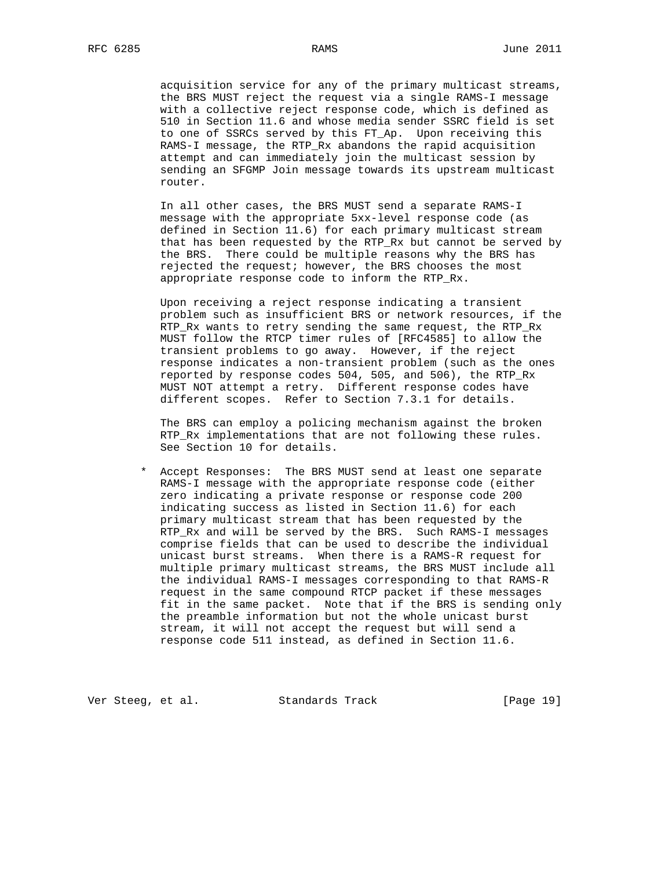acquisition service for any of the primary multicast streams, the BRS MUST reject the request via a single RAMS-I message with a collective reject response code, which is defined as 510 in Section 11.6 and whose media sender SSRC field is set to one of SSRCs served by this FT\_Ap. Upon receiving this RAMS-I message, the RTP\_Rx abandons the rapid acquisition attempt and can immediately join the multicast session by sending an SFGMP Join message towards its upstream multicast router.

 In all other cases, the BRS MUST send a separate RAMS-I message with the appropriate 5xx-level response code (as defined in Section 11.6) for each primary multicast stream that has been requested by the RTP\_Rx but cannot be served by the BRS. There could be multiple reasons why the BRS has rejected the request; however, the BRS chooses the most appropriate response code to inform the RTP\_Rx.

 Upon receiving a reject response indicating a transient problem such as insufficient BRS or network resources, if the RTP\_Rx wants to retry sending the same request, the RTP\_Rx MUST follow the RTCP timer rules of [RFC4585] to allow the transient problems to go away. However, if the reject response indicates a non-transient problem (such as the ones reported by response codes 504, 505, and 506), the RTP\_Rx MUST NOT attempt a retry. Different response codes have different scopes. Refer to Section 7.3.1 for details.

 The BRS can employ a policing mechanism against the broken RTP\_Rx implementations that are not following these rules. See Section 10 for details.

 \* Accept Responses: The BRS MUST send at least one separate RAMS-I message with the appropriate response code (either zero indicating a private response or response code 200 indicating success as listed in Section 11.6) for each primary multicast stream that has been requested by the RTP\_Rx and will be served by the BRS. Such RAMS-I messages comprise fields that can be used to describe the individual unicast burst streams. When there is a RAMS-R request for multiple primary multicast streams, the BRS MUST include all the individual RAMS-I messages corresponding to that RAMS-R request in the same compound RTCP packet if these messages fit in the same packet. Note that if the BRS is sending only the preamble information but not the whole unicast burst stream, it will not accept the request but will send a response code 511 instead, as defined in Section 11.6.

Ver Steeg, et al. Standards Track [Page 19]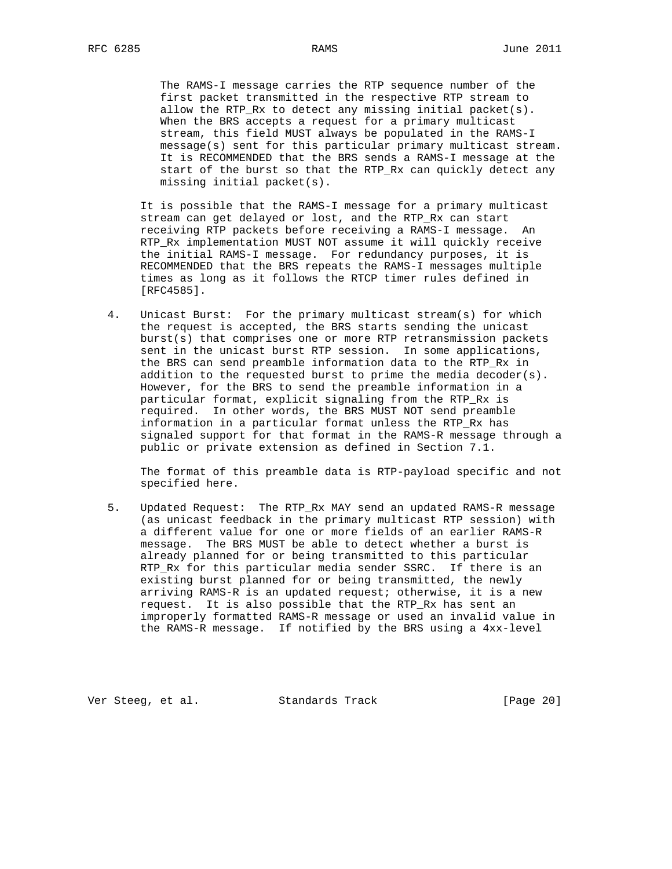The RAMS-I message carries the RTP sequence number of the first packet transmitted in the respective RTP stream to allow the RTP\_Rx to detect any missing initial packet(s). When the BRS accepts a request for a primary multicast stream, this field MUST always be populated in the RAMS-I message(s) sent for this particular primary multicast stream. It is RECOMMENDED that the BRS sends a RAMS-I message at the start of the burst so that the RTP\_Rx can quickly detect any missing initial packet(s).

 It is possible that the RAMS-I message for a primary multicast stream can get delayed or lost, and the RTP\_Rx can start receiving RTP packets before receiving a RAMS-I message. An RTP\_Rx implementation MUST NOT assume it will quickly receive the initial RAMS-I message. For redundancy purposes, it is RECOMMENDED that the BRS repeats the RAMS-I messages multiple times as long as it follows the RTCP timer rules defined in [RFC4585].

 4. Unicast Burst: For the primary multicast stream(s) for which the request is accepted, the BRS starts sending the unicast burst(s) that comprises one or more RTP retransmission packets sent in the unicast burst RTP session. In some applications, the BRS can send preamble information data to the RTP\_Rx in addition to the requested burst to prime the media decoder(s). However, for the BRS to send the preamble information in a particular format, explicit signaling from the RTP\_Rx is required. In other words, the BRS MUST NOT send preamble information in a particular format unless the RTP\_Rx has signaled support for that format in the RAMS-R message through a public or private extension as defined in Section 7.1.

 The format of this preamble data is RTP-payload specific and not specified here.

 5. Updated Request: The RTP\_Rx MAY send an updated RAMS-R message (as unicast feedback in the primary multicast RTP session) with a different value for one or more fields of an earlier RAMS-R message. The BRS MUST be able to detect whether a burst is already planned for or being transmitted to this particular RTP\_Rx for this particular media sender SSRC. If there is an existing burst planned for or being transmitted, the newly arriving RAMS-R is an updated request; otherwise, it is a new request. It is also possible that the RTP\_Rx has sent an improperly formatted RAMS-R message or used an invalid value in the RAMS-R message. If notified by the BRS using a 4xx-level

Ver Steeg, et al. Standards Track [Page 20]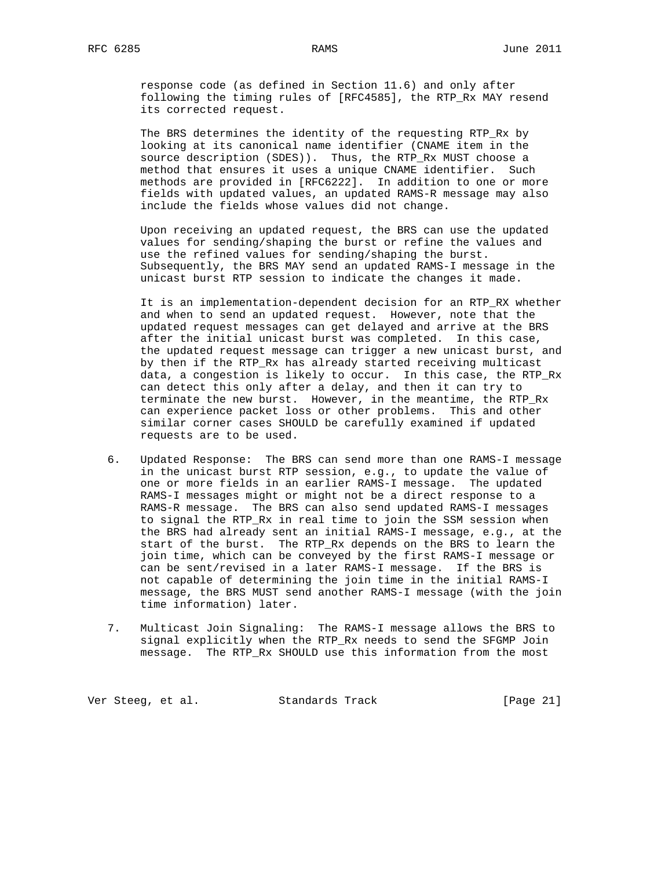response code (as defined in Section 11.6) and only after following the timing rules of [RFC4585], the RTP\_Rx MAY resend its corrected request.

 The BRS determines the identity of the requesting RTP\_Rx by looking at its canonical name identifier (CNAME item in the source description (SDES)). Thus, the RTP\_Rx MUST choose a method that ensures it uses a unique CNAME identifier. Such methods are provided in [RFC6222]. In addition to one or more fields with updated values, an updated RAMS-R message may also include the fields whose values did not change.

 Upon receiving an updated request, the BRS can use the updated values for sending/shaping the burst or refine the values and use the refined values for sending/shaping the burst. Subsequently, the BRS MAY send an updated RAMS-I message in the unicast burst RTP session to indicate the changes it made.

 It is an implementation-dependent decision for an RTP\_RX whether and when to send an updated request. However, note that the updated request messages can get delayed and arrive at the BRS after the initial unicast burst was completed. In this case, the updated request message can trigger a new unicast burst, and by then if the RTP\_Rx has already started receiving multicast data, a congestion is likely to occur. In this case, the RTP\_Rx can detect this only after a delay, and then it can try to terminate the new burst. However, in the meantime, the RTP\_Rx can experience packet loss or other problems. This and other similar corner cases SHOULD be carefully examined if updated requests are to be used.

- 6. Updated Response: The BRS can send more than one RAMS-I message in the unicast burst RTP session, e.g., to update the value of one or more fields in an earlier RAMS-I message. The updated RAMS-I messages might or might not be a direct response to a RAMS-R message. The BRS can also send updated RAMS-I messages to signal the RTP\_Rx in real time to join the SSM session when the BRS had already sent an initial RAMS-I message, e.g., at the start of the burst. The RTP\_Rx depends on the BRS to learn the join time, which can be conveyed by the first RAMS-I message or can be sent/revised in a later RAMS-I message. If the BRS is not capable of determining the join time in the initial RAMS-I message, the BRS MUST send another RAMS-I message (with the join time information) later.
- 7. Multicast Join Signaling: The RAMS-I message allows the BRS to signal explicitly when the RTP\_Rx needs to send the SFGMP Join message. The RTP\_Rx SHOULD use this information from the most

Ver Steeg, et al. Standards Track [Page 21]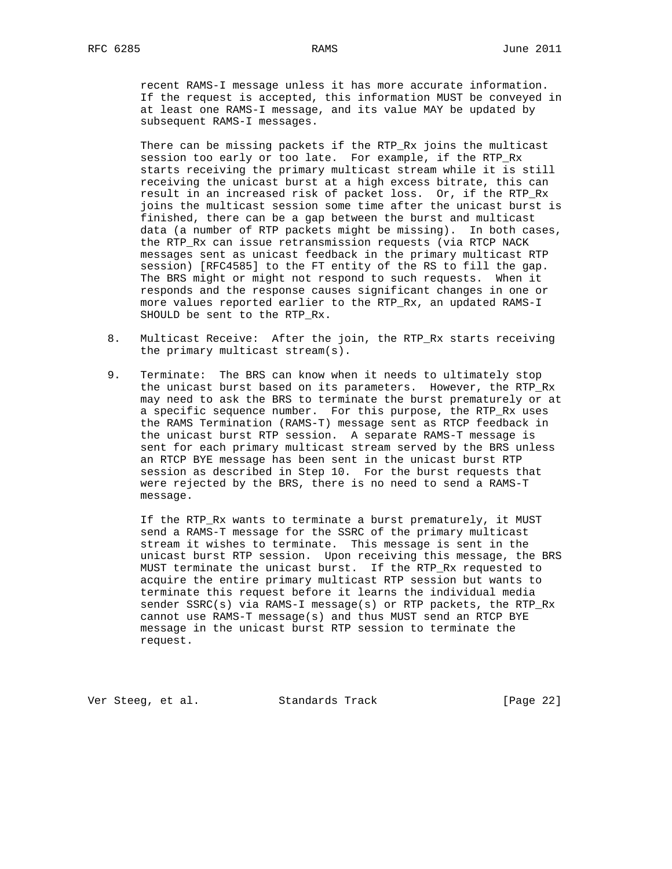recent RAMS-I message unless it has more accurate information. If the request is accepted, this information MUST be conveyed in at least one RAMS-I message, and its value MAY be updated by subsequent RAMS-I messages.

 There can be missing packets if the RTP\_Rx joins the multicast session too early or too late. For example, if the RTP\_Rx starts receiving the primary multicast stream while it is still receiving the unicast burst at a high excess bitrate, this can result in an increased risk of packet loss. Or, if the RTP\_Rx joins the multicast session some time after the unicast burst is finished, there can be a gap between the burst and multicast data (a number of RTP packets might be missing). In both cases, the RTP\_Rx can issue retransmission requests (via RTCP NACK messages sent as unicast feedback in the primary multicast RTP session) [RFC4585] to the FT entity of the RS to fill the gap. The BRS might or might not respond to such requests. When it responds and the response causes significant changes in one or more values reported earlier to the RTP\_Rx, an updated RAMS-I SHOULD be sent to the RTP\_Rx.

- 8. Multicast Receive: After the join, the RTP\_Rx starts receiving the primary multicast stream(s).
- 9. Terminate: The BRS can know when it needs to ultimately stop the unicast burst based on its parameters. However, the RTP\_Rx may need to ask the BRS to terminate the burst prematurely or at a specific sequence number. For this purpose, the RTP\_Rx uses the RAMS Termination (RAMS-T) message sent as RTCP feedback in the unicast burst RTP session. A separate RAMS-T message is sent for each primary multicast stream served by the BRS unless an RTCP BYE message has been sent in the unicast burst RTP session as described in Step 10. For the burst requests that were rejected by the BRS, there is no need to send a RAMS-T message.

 If the RTP\_Rx wants to terminate a burst prematurely, it MUST send a RAMS-T message for the SSRC of the primary multicast stream it wishes to terminate. This message is sent in the unicast burst RTP session. Upon receiving this message, the BRS MUST terminate the unicast burst. If the RTP\_Rx requested to acquire the entire primary multicast RTP session but wants to terminate this request before it learns the individual media sender SSRC(s) via RAMS-I message(s) or RTP packets, the RTP\_Rx cannot use RAMS-T message(s) and thus MUST send an RTCP BYE message in the unicast burst RTP session to terminate the request.

Ver Steeg, et al. Standards Track [Page 22]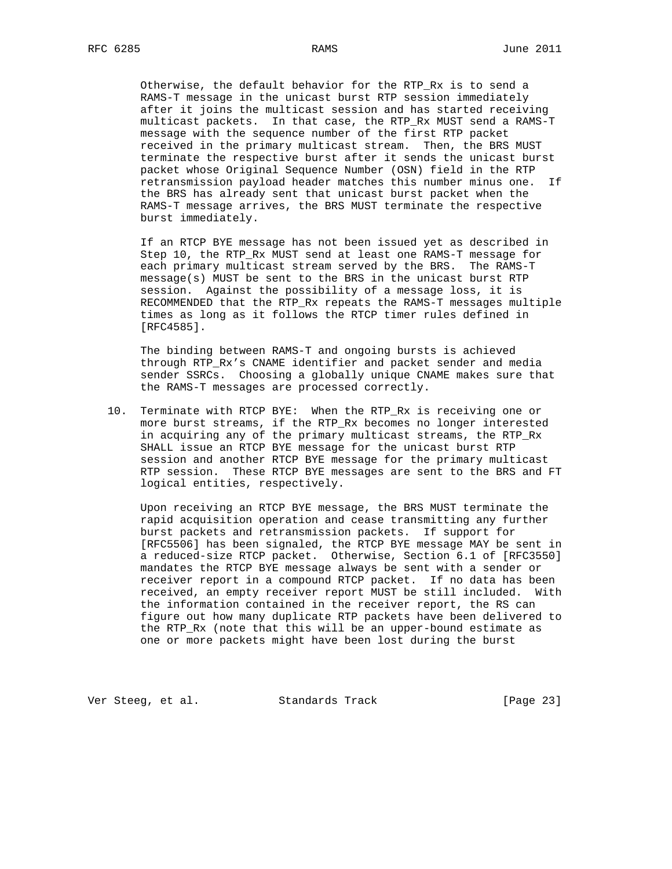Otherwise, the default behavior for the RTP\_Rx is to send a RAMS-T message in the unicast burst RTP session immediately after it joins the multicast session and has started receiving multicast packets. In that case, the RTP\_Rx MUST send a RAMS-T message with the sequence number of the first RTP packet received in the primary multicast stream. Then, the BRS MUST terminate the respective burst after it sends the unicast burst packet whose Original Sequence Number (OSN) field in the RTP retransmission payload header matches this number minus one. If the BRS has already sent that unicast burst packet when the RAMS-T message arrives, the BRS MUST terminate the respective burst immediately.

 If an RTCP BYE message has not been issued yet as described in Step 10, the RTP\_Rx MUST send at least one RAMS-T message for each primary multicast stream served by the BRS. The RAMS-T message(s) MUST be sent to the BRS in the unicast burst RTP session. Against the possibility of a message loss, it is RECOMMENDED that the RTP\_Rx repeats the RAMS-T messages multiple times as long as it follows the RTCP timer rules defined in [RFC4585].

 The binding between RAMS-T and ongoing bursts is achieved through RTP\_Rx's CNAME identifier and packet sender and media sender SSRCs. Choosing a globally unique CNAME makes sure that the RAMS-T messages are processed correctly.

 10. Terminate with RTCP BYE: When the RTP\_Rx is receiving one or more burst streams, if the RTP\_Rx becomes no longer interested in acquiring any of the primary multicast streams, the RTP\_Rx SHALL issue an RTCP BYE message for the unicast burst RTP session and another RTCP BYE message for the primary multicast RTP session. These RTCP BYE messages are sent to the BRS and FT logical entities, respectively.

 Upon receiving an RTCP BYE message, the BRS MUST terminate the rapid acquisition operation and cease transmitting any further burst packets and retransmission packets. If support for [RFC5506] has been signaled, the RTCP BYE message MAY be sent in a reduced-size RTCP packet. Otherwise, Section 6.1 of [RFC3550] mandates the RTCP BYE message always be sent with a sender or receiver report in a compound RTCP packet. If no data has been received, an empty receiver report MUST be still included. With the information contained in the receiver report, the RS can figure out how many duplicate RTP packets have been delivered to the RTP\_Rx (note that this will be an upper-bound estimate as one or more packets might have been lost during the burst

Ver Steeg, et al. Standards Track [Page 23]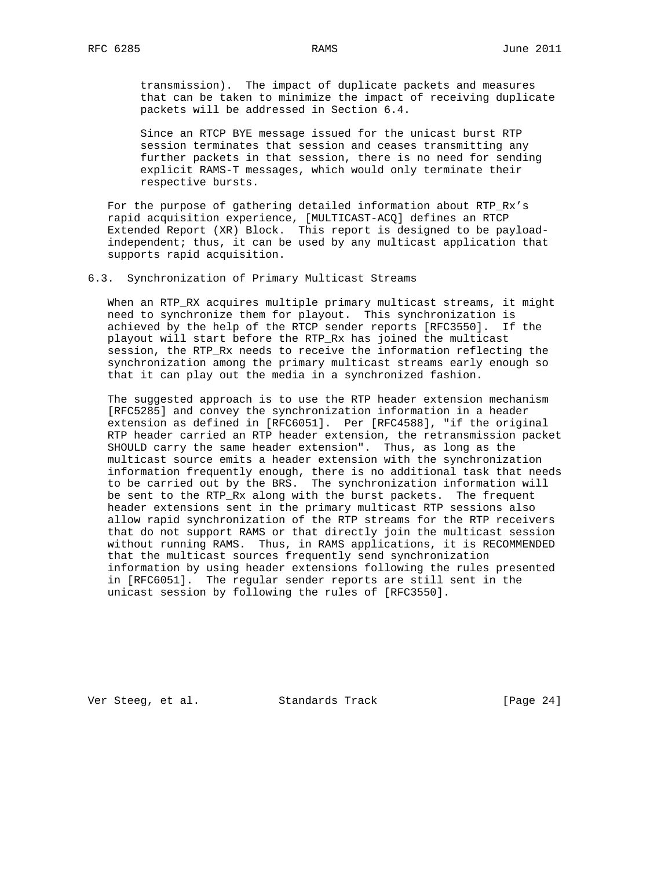transmission). The impact of duplicate packets and measures that can be taken to minimize the impact of receiving duplicate packets will be addressed in Section 6.4.

 Since an RTCP BYE message issued for the unicast burst RTP session terminates that session and ceases transmitting any further packets in that session, there is no need for sending explicit RAMS-T messages, which would only terminate their respective bursts.

 For the purpose of gathering detailed information about RTP\_Rx's rapid acquisition experience, [MULTICAST-ACQ] defines an RTCP Extended Report (XR) Block. This report is designed to be payload independent; thus, it can be used by any multicast application that supports rapid acquisition.

6.3. Synchronization of Primary Multicast Streams

 When an RTP\_RX acquires multiple primary multicast streams, it might need to synchronize them for playout. This synchronization is achieved by the help of the RTCP sender reports [RFC3550]. If the playout will start before the RTP\_Rx has joined the multicast session, the RTP\_Rx needs to receive the information reflecting the synchronization among the primary multicast streams early enough so that it can play out the media in a synchronized fashion.

 The suggested approach is to use the RTP header extension mechanism [RFC5285] and convey the synchronization information in a header extension as defined in [RFC6051]. Per [RFC4588], "if the original RTP header carried an RTP header extension, the retransmission packet SHOULD carry the same header extension". Thus, as long as the multicast source emits a header extension with the synchronization information frequently enough, there is no additional task that needs to be carried out by the BRS. The synchronization information will be sent to the RTP\_Rx along with the burst packets. The frequent header extensions sent in the primary multicast RTP sessions also allow rapid synchronization of the RTP streams for the RTP receivers that do not support RAMS or that directly join the multicast session without running RAMS. Thus, in RAMS applications, it is RECOMMENDED that the multicast sources frequently send synchronization information by using header extensions following the rules presented in [RFC6051]. The regular sender reports are still sent in the unicast session by following the rules of [RFC3550].

Ver Steeg, et al. Standards Track [Page 24]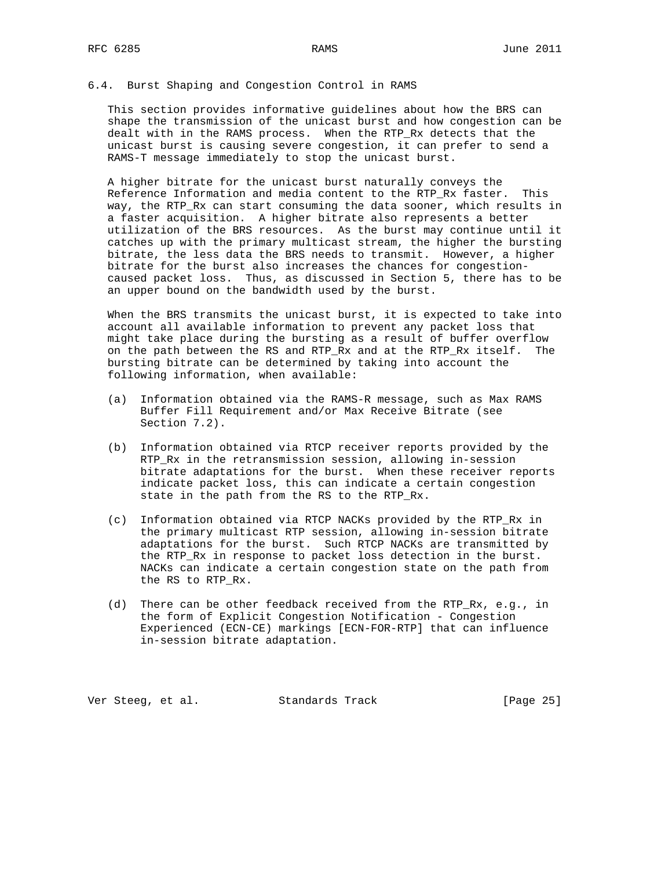## 6.4. Burst Shaping and Congestion Control in RAMS

 This section provides informative guidelines about how the BRS can shape the transmission of the unicast burst and how congestion can be dealt with in the RAMS process. When the RTP\_Rx detects that the unicast burst is causing severe congestion, it can prefer to send a RAMS-T message immediately to stop the unicast burst.

 A higher bitrate for the unicast burst naturally conveys the Reference Information and media content to the RTP\_Rx faster. This way, the RTP\_Rx can start consuming the data sooner, which results in a faster acquisition. A higher bitrate also represents a better utilization of the BRS resources. As the burst may continue until it catches up with the primary multicast stream, the higher the bursting bitrate, the less data the BRS needs to transmit. However, a higher bitrate for the burst also increases the chances for congestion caused packet loss. Thus, as discussed in Section 5, there has to be an upper bound on the bandwidth used by the burst.

 When the BRS transmits the unicast burst, it is expected to take into account all available information to prevent any packet loss that might take place during the bursting as a result of buffer overflow on the path between the RS and RTP\_Rx and at the RTP\_Rx itself. The bursting bitrate can be determined by taking into account the following information, when available:

- (a) Information obtained via the RAMS-R message, such as Max RAMS Buffer Fill Requirement and/or Max Receive Bitrate (see Section 7.2).
- (b) Information obtained via RTCP receiver reports provided by the RTP\_Rx in the retransmission session, allowing in-session bitrate adaptations for the burst. When these receiver reports indicate packet loss, this can indicate a certain congestion state in the path from the RS to the RTP\_Rx.
- (c) Information obtained via RTCP NACKs provided by the RTP\_Rx in the primary multicast RTP session, allowing in-session bitrate adaptations for the burst. Such RTCP NACKs are transmitted by the RTP\_Rx in response to packet loss detection in the burst. NACKs can indicate a certain congestion state on the path from the RS to RTP\_Rx.
- (d) There can be other feedback received from the RTP\_Rx, e.g., in the form of Explicit Congestion Notification - Congestion Experienced (ECN-CE) markings [ECN-FOR-RTP] that can influence in-session bitrate adaptation.

Ver Steeg, et al. Standards Track [Page 25]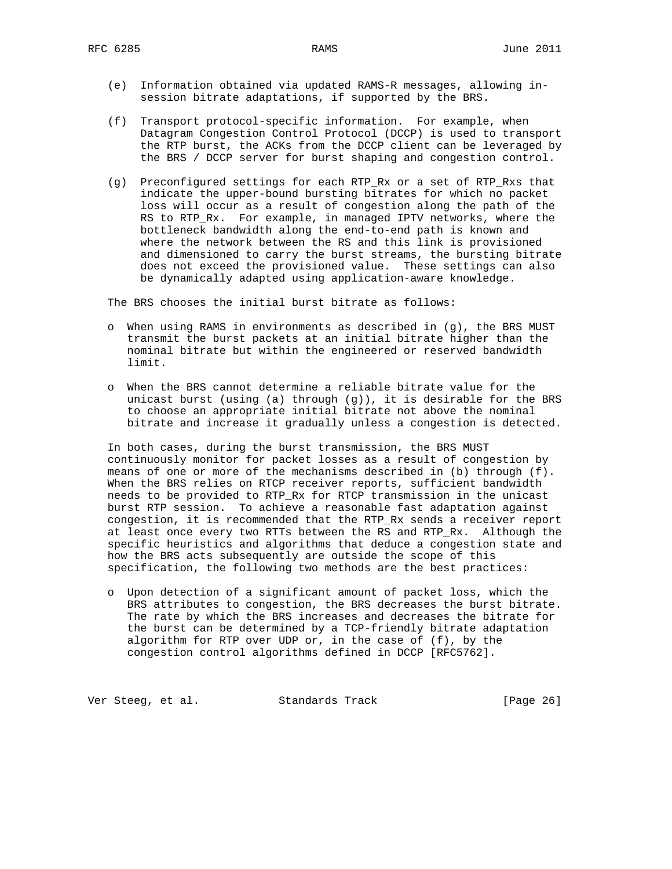- (e) Information obtained via updated RAMS-R messages, allowing in session bitrate adaptations, if supported by the BRS.
- (f) Transport protocol-specific information. For example, when Datagram Congestion Control Protocol (DCCP) is used to transport the RTP burst, the ACKs from the DCCP client can be leveraged by the BRS / DCCP server for burst shaping and congestion control.
- (g) Preconfigured settings for each RTP\_Rx or a set of RTP\_Rxs that indicate the upper-bound bursting bitrates for which no packet loss will occur as a result of congestion along the path of the RS to RTP\_Rx. For example, in managed IPTV networks, where the bottleneck bandwidth along the end-to-end path is known and where the network between the RS and this link is provisioned and dimensioned to carry the burst streams, the bursting bitrate does not exceed the provisioned value. These settings can also be dynamically adapted using application-aware knowledge.

The BRS chooses the initial burst bitrate as follows:

- o When using RAMS in environments as described in (g), the BRS MUST transmit the burst packets at an initial bitrate higher than the nominal bitrate but within the engineered or reserved bandwidth limit.
- o When the BRS cannot determine a reliable bitrate value for the unicast burst (using (a) through  $(g)$ ), it is desirable for the BRS to choose an appropriate initial bitrate not above the nominal bitrate and increase it gradually unless a congestion is detected.

 In both cases, during the burst transmission, the BRS MUST continuously monitor for packet losses as a result of congestion by means of one or more of the mechanisms described in (b) through (f). When the BRS relies on RTCP receiver reports, sufficient bandwidth needs to be provided to RTP\_Rx for RTCP transmission in the unicast burst RTP session. To achieve a reasonable fast adaptation against congestion, it is recommended that the RTP\_Rx sends a receiver report at least once every two RTTs between the RS and RTP\_Rx. Although the specific heuristics and algorithms that deduce a congestion state and how the BRS acts subsequently are outside the scope of this specification, the following two methods are the best practices:

 o Upon detection of a significant amount of packet loss, which the BRS attributes to congestion, the BRS decreases the burst bitrate. The rate by which the BRS increases and decreases the bitrate for the burst can be determined by a TCP-friendly bitrate adaptation algorithm for RTP over UDP or, in the case of  $(f)$ , by the congestion control algorithms defined in DCCP [RFC5762].

Ver Steeg, et al. Standards Track [Page 26]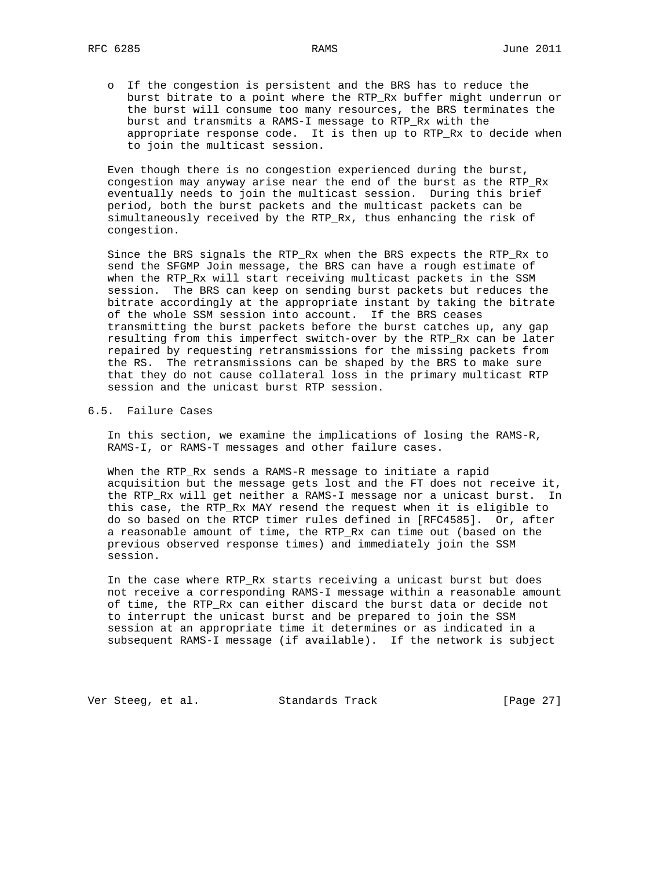o If the congestion is persistent and the BRS has to reduce the burst bitrate to a point where the RTP\_Rx buffer might underrun or the burst will consume too many resources, the BRS terminates the burst and transmits a RAMS-I message to RTP\_Rx with the appropriate response code. It is then up to RTP\_Rx to decide when to join the multicast session.

 Even though there is no congestion experienced during the burst, congestion may anyway arise near the end of the burst as the RTP\_Rx eventually needs to join the multicast session. During this brief period, both the burst packets and the multicast packets can be simultaneously received by the RTP\_Rx, thus enhancing the risk of congestion.

 Since the BRS signals the RTP\_Rx when the BRS expects the RTP\_Rx to send the SFGMP Join message, the BRS can have a rough estimate of when the RTP\_Rx will start receiving multicast packets in the SSM session. The BRS can keep on sending burst packets but reduces the bitrate accordingly at the appropriate instant by taking the bitrate of the whole SSM session into account. If the BRS ceases transmitting the burst packets before the burst catches up, any gap resulting from this imperfect switch-over by the RTP\_Rx can be later repaired by requesting retransmissions for the missing packets from the RS. The retransmissions can be shaped by the BRS to make sure that they do not cause collateral loss in the primary multicast RTP session and the unicast burst RTP session.

#### 6.5. Failure Cases

 In this section, we examine the implications of losing the RAMS-R, RAMS-I, or RAMS-T messages and other failure cases.

 When the RTP\_Rx sends a RAMS-R message to initiate a rapid acquisition but the message gets lost and the FT does not receive it, the RTP\_Rx will get neither a RAMS-I message nor a unicast burst. In this case, the RTP\_Rx MAY resend the request when it is eligible to do so based on the RTCP timer rules defined in [RFC4585]. Or, after a reasonable amount of time, the RTP\_Rx can time out (based on the previous observed response times) and immediately join the SSM session.

 In the case where RTP\_Rx starts receiving a unicast burst but does not receive a corresponding RAMS-I message within a reasonable amount of time, the RTP\_Rx can either discard the burst data or decide not to interrupt the unicast burst and be prepared to join the SSM session at an appropriate time it determines or as indicated in a subsequent RAMS-I message (if available). If the network is subject

Ver Steeg, et al. Standards Track [Page 27]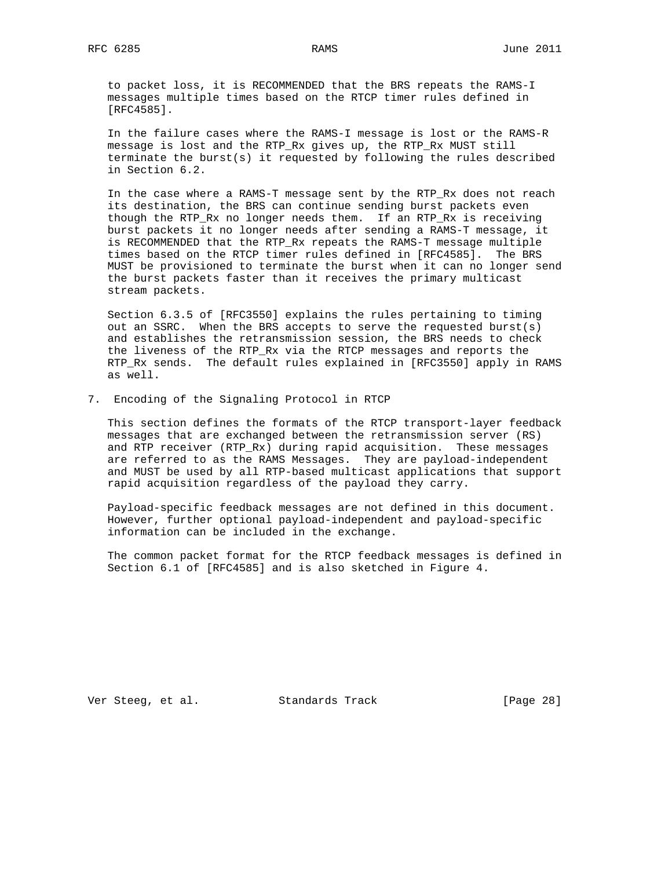to packet loss, it is RECOMMENDED that the BRS repeats the RAMS-I messages multiple times based on the RTCP timer rules defined in [RFC4585].

 In the failure cases where the RAMS-I message is lost or the RAMS-R message is lost and the RTP\_Rx gives up, the RTP\_Rx MUST still terminate the burst(s) it requested by following the rules described in Section 6.2.

 In the case where a RAMS-T message sent by the RTP\_Rx does not reach its destination, the BRS can continue sending burst packets even though the RTP\_Rx no longer needs them. If an RTP\_Rx is receiving burst packets it no longer needs after sending a RAMS-T message, it is RECOMMENDED that the RTP\_Rx repeats the RAMS-T message multiple times based on the RTCP timer rules defined in [RFC4585]. The BRS MUST be provisioned to terminate the burst when it can no longer send the burst packets faster than it receives the primary multicast stream packets.

 Section 6.3.5 of [RFC3550] explains the rules pertaining to timing out an SSRC. When the BRS accepts to serve the requested burst(s) and establishes the retransmission session, the BRS needs to check the liveness of the RTP\_Rx via the RTCP messages and reports the RTP\_Rx sends. The default rules explained in [RFC3550] apply in RAMS as well.

7. Encoding of the Signaling Protocol in RTCP

 This section defines the formats of the RTCP transport-layer feedback messages that are exchanged between the retransmission server (RS) and RTP receiver (RTP\_Rx) during rapid acquisition. These messages are referred to as the RAMS Messages. They are payload-independent and MUST be used by all RTP-based multicast applications that support rapid acquisition regardless of the payload they carry.

 Payload-specific feedback messages are not defined in this document. However, further optional payload-independent and payload-specific information can be included in the exchange.

 The common packet format for the RTCP feedback messages is defined in Section 6.1 of [RFC4585] and is also sketched in Figure 4.

Ver Steeg, et al. Standards Track [Page 28]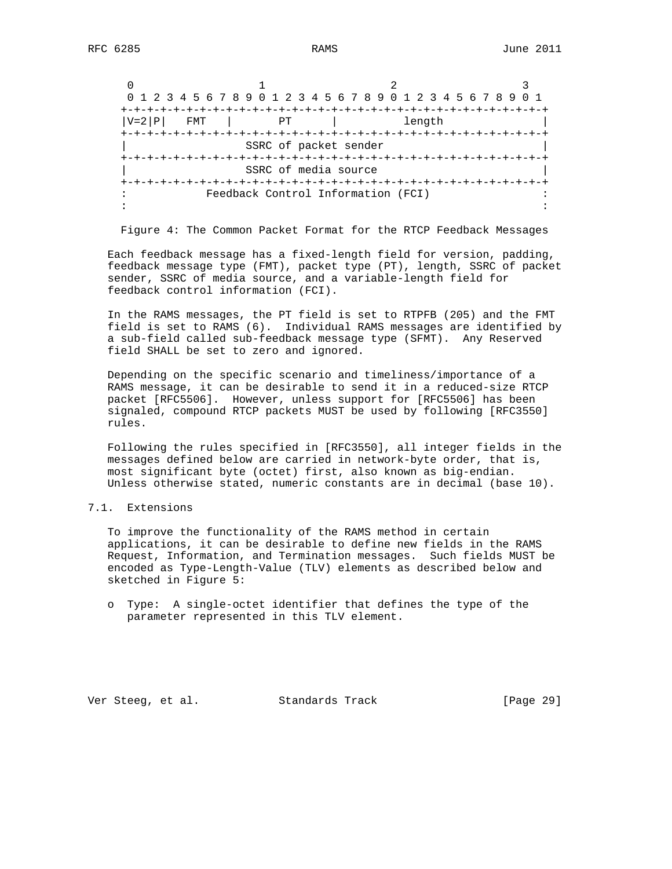|                  | 0 1 2 3 4 5 6 7 8 9 0 1 2 3 4 5 6 7 8 9 0 1 2 3 4 5 6 7 8 9 |        |  |
|------------------|-------------------------------------------------------------|--------|--|
|                  |                                                             |        |  |
| $ V=2 P $<br>FMT | PТ                                                          | length |  |
|                  |                                                             |        |  |
|                  | SSRC of packet sender                                       |        |  |
|                  |                                                             |        |  |
|                  | SSRC of media source                                        |        |  |
|                  |                                                             |        |  |
|                  | Feedback Control Information (FCI)                          |        |  |
|                  |                                                             |        |  |

Figure 4: The Common Packet Format for the RTCP Feedback Messages

 Each feedback message has a fixed-length field for version, padding, feedback message type (FMT), packet type (PT), length, SSRC of packet sender, SSRC of media source, and a variable-length field for feedback control information (FCI).

 In the RAMS messages, the PT field is set to RTPFB (205) and the FMT field is set to RAMS (6). Individual RAMS messages are identified by a sub-field called sub-feedback message type (SFMT). Any Reserved field SHALL be set to zero and ignored.

 Depending on the specific scenario and timeliness/importance of a RAMS message, it can be desirable to send it in a reduced-size RTCP packet [RFC5506]. However, unless support for [RFC5506] has been signaled, compound RTCP packets MUST be used by following [RFC3550] rules.

 Following the rules specified in [RFC3550], all integer fields in the messages defined below are carried in network-byte order, that is, most significant byte (octet) first, also known as big-endian. Unless otherwise stated, numeric constants are in decimal (base 10).

## 7.1. Extensions

 To improve the functionality of the RAMS method in certain applications, it can be desirable to define new fields in the RAMS Request, Information, and Termination messages. Such fields MUST be encoded as Type-Length-Value (TLV) elements as described below and sketched in Figure 5:

 o Type: A single-octet identifier that defines the type of the parameter represented in this TLV element.

Ver Steeg, et al. Standards Track [Page 29]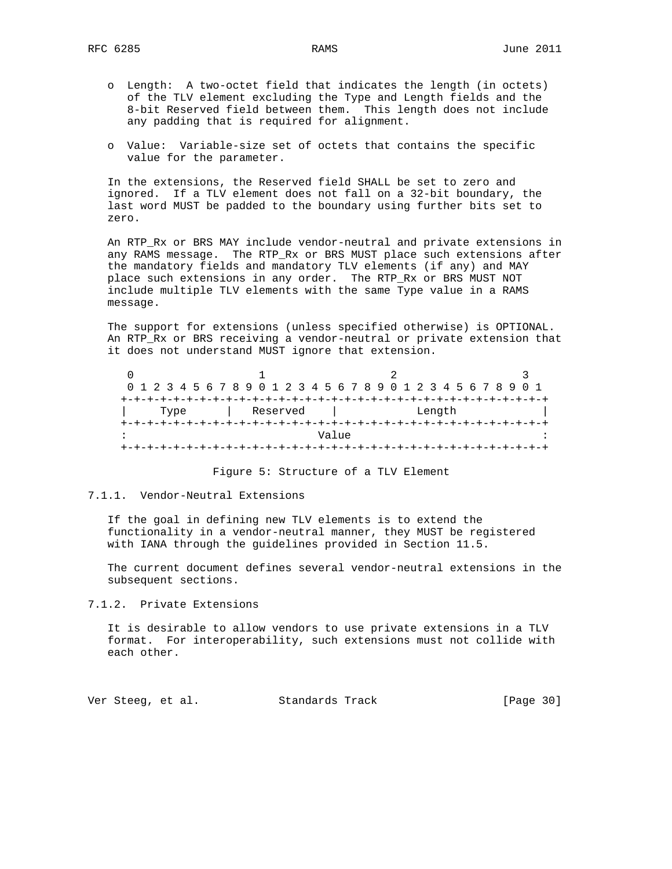- o Length: A two-octet field that indicates the length (in octets) of the TLV element excluding the Type and Length fields and the 8-bit Reserved field between them. This length does not include any padding that is required for alignment.
- o Value: Variable-size set of octets that contains the specific value for the parameter.

 In the extensions, the Reserved field SHALL be set to zero and ignored. If a TLV element does not fall on a 32-bit boundary, the last word MUST be padded to the boundary using further bits set to zero.

 An RTP\_Rx or BRS MAY include vendor-neutral and private extensions in any RAMS message. The RTP\_Rx or BRS MUST place such extensions after the mandatory fields and mandatory TLV elements (if any) and MAY place such extensions in any order. The RTP\_Rx or BRS MUST NOT include multiple TLV elements with the same Type value in a RAMS message.

 The support for extensions (unless specified otherwise) is OPTIONAL. An RTP\_Rx or BRS receiving a vendor-neutral or private extension that it does not understand MUST ignore that extension.

|  |  |      |  |  |  |          |  | 0 1 2 3 4 5 6 7 8 9 0 1 2 3 4 5 6 7 8 9 0 1 2 3 4 5 6 7 8 9 0 1 |       |  |  |  |        |  |  |  |  |
|--|--|------|--|--|--|----------|--|-----------------------------------------------------------------|-------|--|--|--|--------|--|--|--|--|
|  |  |      |  |  |  |          |  |                                                                 |       |  |  |  |        |  |  |  |  |
|  |  | Type |  |  |  | Reserved |  |                                                                 |       |  |  |  | Length |  |  |  |  |
|  |  |      |  |  |  |          |  |                                                                 |       |  |  |  |        |  |  |  |  |
|  |  |      |  |  |  |          |  |                                                                 | Value |  |  |  |        |  |  |  |  |
|  |  |      |  |  |  |          |  |                                                                 |       |  |  |  |        |  |  |  |  |

Figure 5: Structure of a TLV Element

## 7.1.1. Vendor-Neutral Extensions

 If the goal in defining new TLV elements is to extend the functionality in a vendor-neutral manner, they MUST be registered with IANA through the guidelines provided in Section 11.5.

 The current document defines several vendor-neutral extensions in the subsequent sections.

7.1.2. Private Extensions

 It is desirable to allow vendors to use private extensions in a TLV format. For interoperability, such extensions must not collide with each other.

Ver Steeg, et al. Standards Track [Page 30]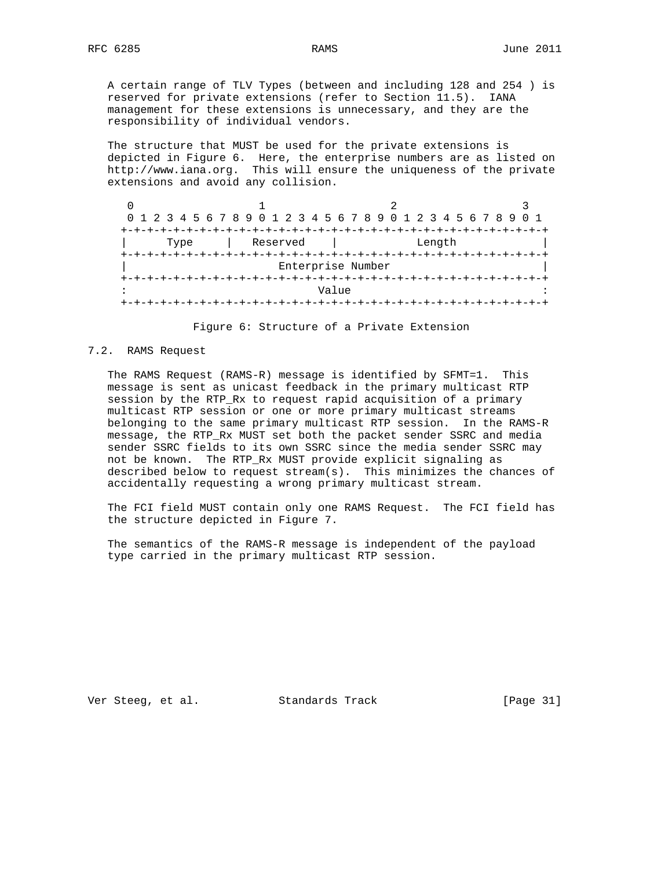A certain range of TLV Types (between and including 128 and 254 ) is reserved for private extensions (refer to Section 11.5). IANA management for these extensions is unnecessary, and they are the responsibility of individual vendors.

 The structure that MUST be used for the private extensions is depicted in Figure 6. Here, the enterprise numbers are as listed on http://www.iana.org. This will ensure the uniqueness of the private extensions and avoid any collision.

|      |          | 0 1 2 3 4 5 6 7 8 9 0 1 2 3 4 5 6 7 8 9 0 1 2 3 4 5 6 7 8 9 0 1 |  |
|------|----------|-----------------------------------------------------------------|--|
|      |          |                                                                 |  |
| Type | Reserved | Length                                                          |  |
|      |          |                                                                 |  |
|      |          | Enterprise Number                                               |  |
|      |          |                                                                 |  |
|      |          | Value                                                           |  |
|      |          |                                                                 |  |

Figure 6: Structure of a Private Extension

#### 7.2. RAMS Request

 The RAMS Request (RAMS-R) message is identified by SFMT=1. This message is sent as unicast feedback in the primary multicast RTP session by the RTP\_Rx to request rapid acquisition of a primary multicast RTP session or one or more primary multicast streams belonging to the same primary multicast RTP session. In the RAMS-R message, the RTP\_Rx MUST set both the packet sender SSRC and media sender SSRC fields to its own SSRC since the media sender SSRC may not be known. The RTP\_Rx MUST provide explicit signaling as described below to request stream(s). This minimizes the chances of accidentally requesting a wrong primary multicast stream.

 The FCI field MUST contain only one RAMS Request. The FCI field has the structure depicted in Figure 7.

 The semantics of the RAMS-R message is independent of the payload type carried in the primary multicast RTP session.

Ver Steeg, et al. Standards Track [Page 31]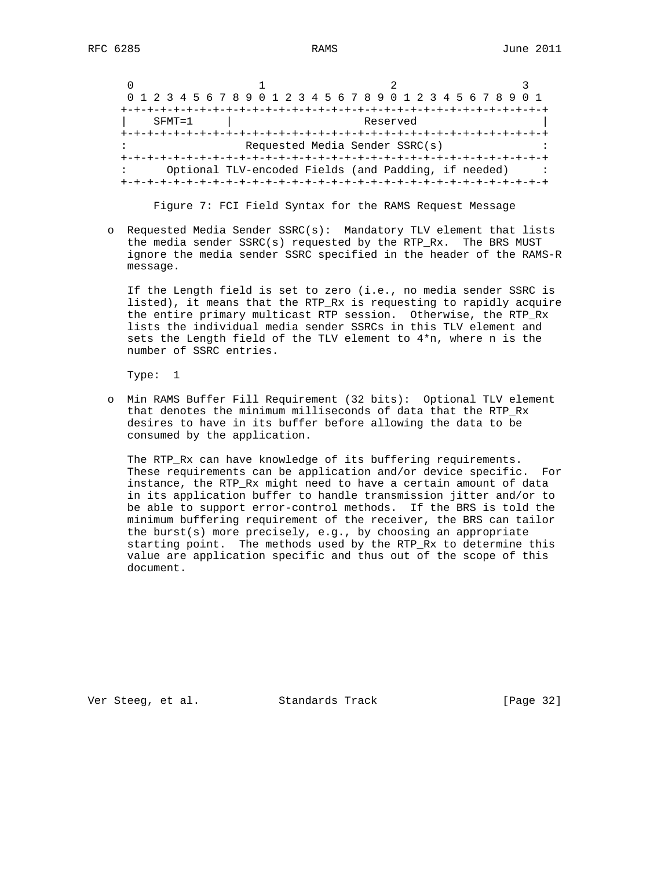|            | 0 1 2 3 4 5 6 7 8 9 0 1 2 3 4 5 6 7 8 9 0 1 2 3 4 5 6 7 8 9 0 1 |  |
|------------|-----------------------------------------------------------------|--|
|            |                                                                 |  |
| $SFMT = 1$ | Reserved                                                        |  |
|            |                                                                 |  |
|            | Requested Media Sender SSRC(s)                                  |  |
|            | --+-+-+-+-+-+-+-+-+-+-+-+-+-+-+-+-+-+                           |  |
|            | Optional TLV-encoded Fields (and Padding, if needed)            |  |
|            |                                                                 |  |

Figure 7: FCI Field Syntax for the RAMS Request Message

 o Requested Media Sender SSRC(s): Mandatory TLV element that lists the media sender SSRC(s) requested by the RTP\_Rx. The BRS MUST ignore the media sender SSRC specified in the header of the RAMS-R message.

 If the Length field is set to zero (i.e., no media sender SSRC is listed), it means that the RTP\_Rx is requesting to rapidly acquire the entire primary multicast RTP session. Otherwise, the RTP\_Rx lists the individual media sender SSRCs in this TLV element and sets the Length field of the TLV element to 4\*n, where n is the number of SSRC entries.

Type: 1

 o Min RAMS Buffer Fill Requirement (32 bits): Optional TLV element that denotes the minimum milliseconds of data that the RTP\_Rx desires to have in its buffer before allowing the data to be consumed by the application.

 The RTP\_Rx can have knowledge of its buffering requirements. These requirements can be application and/or device specific. For instance, the RTP\_Rx might need to have a certain amount of data in its application buffer to handle transmission jitter and/or to be able to support error-control methods. If the BRS is told the minimum buffering requirement of the receiver, the BRS can tailor the burst(s) more precisely, e.g., by choosing an appropriate starting point. The methods used by the RTP\_Rx to determine this value are application specific and thus out of the scope of this document.

Ver Steeg, et al. Standards Track [Page 32]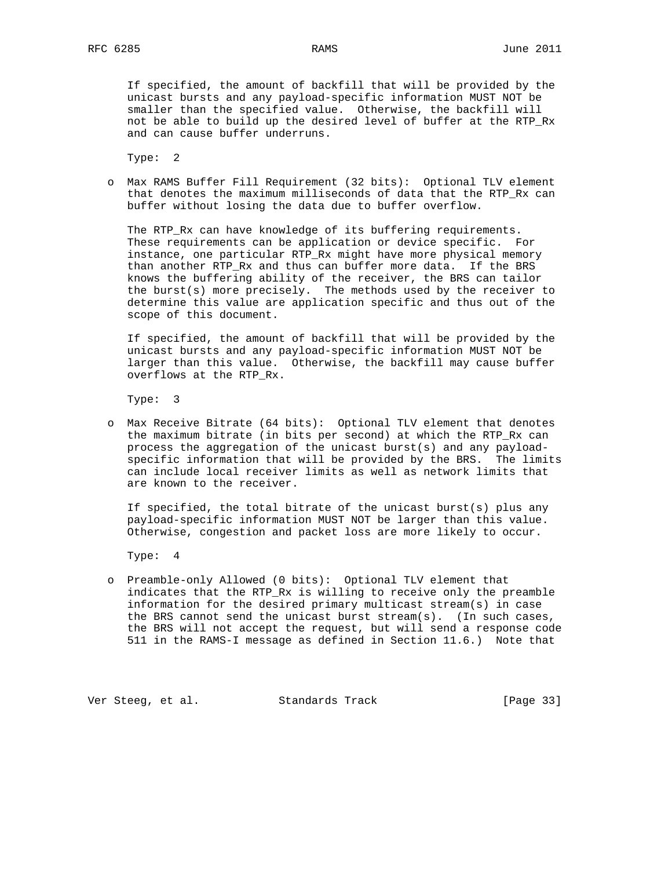If specified, the amount of backfill that will be provided by the unicast bursts and any payload-specific information MUST NOT be smaller than the specified value. Otherwise, the backfill will not be able to build up the desired level of buffer at the RTP\_Rx and can cause buffer underruns.

Type: 2

 o Max RAMS Buffer Fill Requirement (32 bits): Optional TLV element that denotes the maximum milliseconds of data that the RTP\_Rx can buffer without losing the data due to buffer overflow.

 The RTP\_Rx can have knowledge of its buffering requirements. These requirements can be application or device specific. For instance, one particular RTP\_Rx might have more physical memory than another RTP\_Rx and thus can buffer more data. If the BRS knows the buffering ability of the receiver, the BRS can tailor the burst(s) more precisely. The methods used by the receiver to determine this value are application specific and thus out of the scope of this document.

 If specified, the amount of backfill that will be provided by the unicast bursts and any payload-specific information MUST NOT be larger than this value. Otherwise, the backfill may cause buffer overflows at the RTP\_Rx.

Type: 3

 o Max Receive Bitrate (64 bits): Optional TLV element that denotes the maximum bitrate (in bits per second) at which the RTP\_Rx can process the aggregation of the unicast burst(s) and any payload specific information that will be provided by the BRS. The limits can include local receiver limits as well as network limits that are known to the receiver.

 If specified, the total bitrate of the unicast burst(s) plus any payload-specific information MUST NOT be larger than this value. Otherwise, congestion and packet loss are more likely to occur.

Type: 4

 o Preamble-only Allowed (0 bits): Optional TLV element that indicates that the RTP\_Rx is willing to receive only the preamble information for the desired primary multicast stream(s) in case the BRS cannot send the unicast burst stream(s). (In such cases, the BRS will not accept the request, but will send a response code 511 in the RAMS-I message as defined in Section 11.6.) Note that

Ver Steeg, et al. Standards Track [Page 33]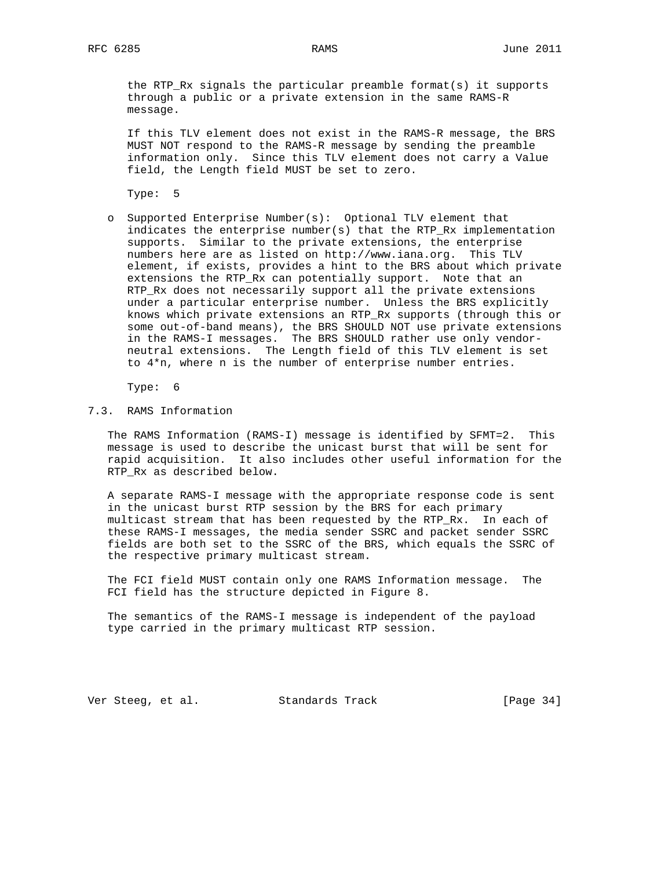the RTP\_Rx signals the particular preamble format(s) it supports through a public or a private extension in the same RAMS-R message.

 If this TLV element does not exist in the RAMS-R message, the BRS MUST NOT respond to the RAMS-R message by sending the preamble information only. Since this TLV element does not carry a Value field, the Length field MUST be set to zero.

Type: 5

 o Supported Enterprise Number(s): Optional TLV element that indicates the enterprise number(s) that the RTP\_Rx implementation supports. Similar to the private extensions, the enterprise numbers here are as listed on http://www.iana.org. This TLV element, if exists, provides a hint to the BRS about which private extensions the RTP\_Rx can potentially support. Note that an RTP\_Rx does not necessarily support all the private extensions under a particular enterprise number. Unless the BRS explicitly knows which private extensions an RTP\_Rx supports (through this or some out-of-band means), the BRS SHOULD NOT use private extensions in the RAMS-I messages. The BRS SHOULD rather use only vendor neutral extensions. The Length field of this TLV element is set to  $4*n$ , where n is the number of enterprise number entries.

Type: 6

7.3. RAMS Information

 The RAMS Information (RAMS-I) message is identified by SFMT=2. This message is used to describe the unicast burst that will be sent for rapid acquisition. It also includes other useful information for the RTP\_Rx as described below.

 A separate RAMS-I message with the appropriate response code is sent in the unicast burst RTP session by the BRS for each primary multicast stream that has been requested by the RTP\_Rx. In each of these RAMS-I messages, the media sender SSRC and packet sender SSRC fields are both set to the SSRC of the BRS, which equals the SSRC of the respective primary multicast stream.

 The FCI field MUST contain only one RAMS Information message. The FCI field has the structure depicted in Figure 8.

 The semantics of the RAMS-I message is independent of the payload type carried in the primary multicast RTP session.

Ver Steeg, et al. Standards Track [Page 34]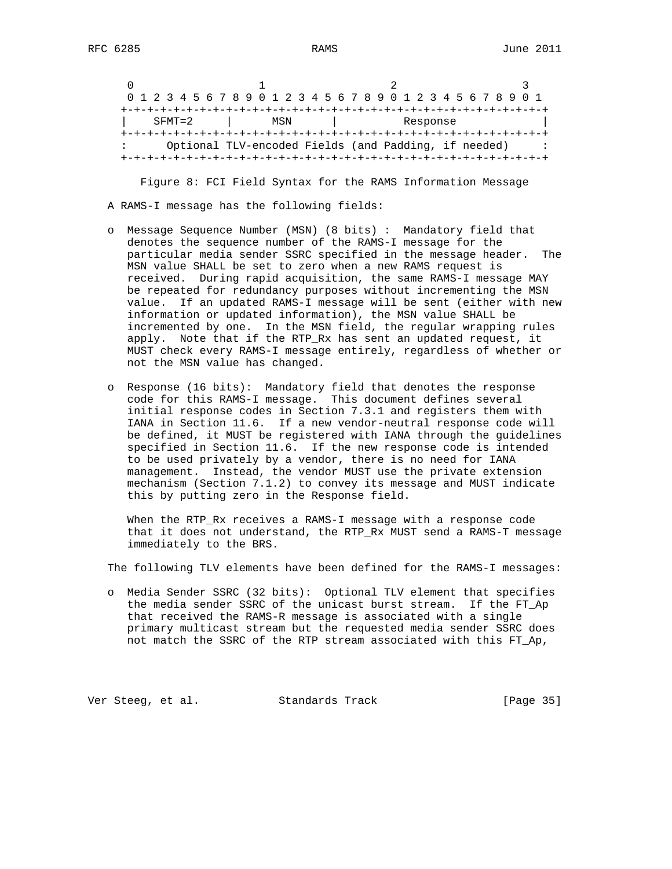|  |  |            |  |  |  |     |  |  | 0 1 2 3 4 5 6 7 8 9 0 1 2 3 4 5 6 7 8 9 0 1 2 3 4 5 6 7 8 9 0 1 |  |  |          |  |  |  |  |
|--|--|------------|--|--|--|-----|--|--|-----------------------------------------------------------------|--|--|----------|--|--|--|--|
|  |  |            |  |  |  |     |  |  |                                                                 |  |  |          |  |  |  |  |
|  |  | $SFMT = 2$ |  |  |  | MSN |  |  |                                                                 |  |  | Response |  |  |  |  |
|  |  |            |  |  |  |     |  |  |                                                                 |  |  |          |  |  |  |  |
|  |  |            |  |  |  |     |  |  | Optional TLV-encoded Fields (and Padding, if needed)            |  |  |          |  |  |  |  |
|  |  |            |  |  |  |     |  |  |                                                                 |  |  |          |  |  |  |  |

 Figure 8: FCI Field Syntax for the RAMS Information Message A RAMS-I message has the following fields:

- o Message Sequence Number (MSN) (8 bits) : Mandatory field that denotes the sequence number of the RAMS-I message for the particular media sender SSRC specified in the message header. The MSN value SHALL be set to zero when a new RAMS request is received. During rapid acquisition, the same RAMS-I message MAY be repeated for redundancy purposes without incrementing the MSN value. If an updated RAMS-I message will be sent (either with new information or updated information), the MSN value SHALL be incremented by one. In the MSN field, the regular wrapping rules apply. Note that if the RTP\_Rx has sent an updated request, it MUST check every RAMS-I message entirely, regardless of whether or not the MSN value has changed.
- o Response (16 bits): Mandatory field that denotes the response code for this RAMS-I message. This document defines several initial response codes in Section 7.3.1 and registers them with IANA in Section 11.6. If a new vendor-neutral response code will be defined, it MUST be registered with IANA through the guidelines specified in Section 11.6. If the new response code is intended to be used privately by a vendor, there is no need for IANA management. Instead, the vendor MUST use the private extension mechanism (Section 7.1.2) to convey its message and MUST indicate this by putting zero in the Response field.

 When the RTP\_Rx receives a RAMS-I message with a response code that it does not understand, the RTP\_Rx MUST send a RAMS-T message immediately to the BRS.

The following TLV elements have been defined for the RAMS-I messages:

 o Media Sender SSRC (32 bits): Optional TLV element that specifies the media sender SSRC of the unicast burst stream. If the FT\_Ap that received the RAMS-R message is associated with a single primary multicast stream but the requested media sender SSRC does not match the SSRC of the RTP stream associated with this FT\_Ap,

Ver Steeg, et al. Standards Track [Page 35]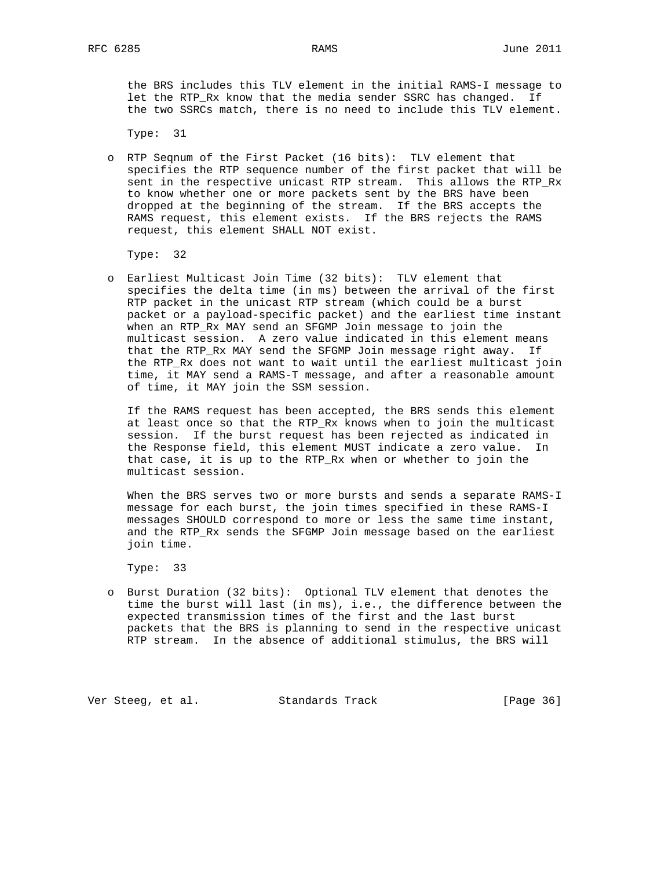the BRS includes this TLV element in the initial RAMS-I message to let the RTP\_Rx know that the media sender SSRC has changed. If the two SSRCs match, there is no need to include this TLV element.

Type: 31

 o RTP Seqnum of the First Packet (16 bits): TLV element that specifies the RTP sequence number of the first packet that will be sent in the respective unicast RTP stream. This allows the RTP\_Rx to know whether one or more packets sent by the BRS have been dropped at the beginning of the stream. If the BRS accepts the RAMS request, this element exists. If the BRS rejects the RAMS request, this element SHALL NOT exist.

Type: 32

 o Earliest Multicast Join Time (32 bits): TLV element that specifies the delta time (in ms) between the arrival of the first RTP packet in the unicast RTP stream (which could be a burst packet or a payload-specific packet) and the earliest time instant when an RTP\_Rx MAY send an SFGMP Join message to join the multicast session. A zero value indicated in this element means that the RTP\_Rx MAY send the SFGMP Join message right away. If the RTP\_Rx does not want to wait until the earliest multicast join time, it MAY send a RAMS-T message, and after a reasonable amount of time, it MAY join the SSM session.

 If the RAMS request has been accepted, the BRS sends this element at least once so that the RTP\_Rx knows when to join the multicast session. If the burst request has been rejected as indicated in the Response field, this element MUST indicate a zero value. In that case, it is up to the RTP\_Rx when or whether to join the multicast session.

 When the BRS serves two or more bursts and sends a separate RAMS-I message for each burst, the join times specified in these RAMS-I messages SHOULD correspond to more or less the same time instant, and the RTP\_Rx sends the SFGMP Join message based on the earliest join time.

Type: 33

 o Burst Duration (32 bits): Optional TLV element that denotes the time the burst will last (in ms), i.e., the difference between the expected transmission times of the first and the last burst packets that the BRS is planning to send in the respective unicast RTP stream. In the absence of additional stimulus, the BRS will

Ver Steeg, et al. Standards Track [Page 36]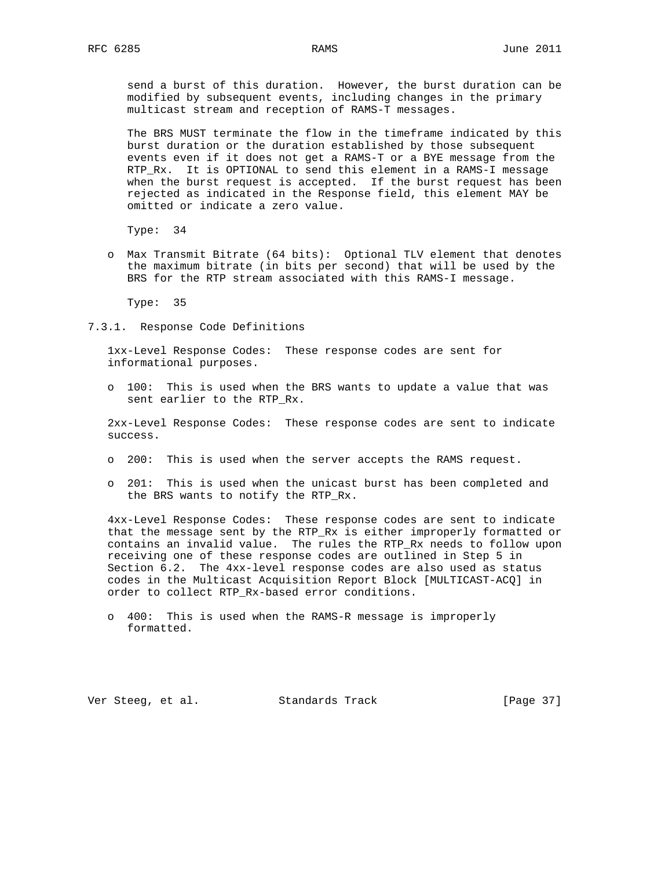send a burst of this duration. However, the burst duration can be modified by subsequent events, including changes in the primary multicast stream and reception of RAMS-T messages.

 The BRS MUST terminate the flow in the timeframe indicated by this burst duration or the duration established by those subsequent events even if it does not get a RAMS-T or a BYE message from the RTP\_Rx. It is OPTIONAL to send this element in a RAMS-I message when the burst request is accepted. If the burst request has been rejected as indicated in the Response field, this element MAY be omitted or indicate a zero value.

Type: 34

 o Max Transmit Bitrate (64 bits): Optional TLV element that denotes the maximum bitrate (in bits per second) that will be used by the BRS for the RTP stream associated with this RAMS-I message.

Type: 35

7.3.1. Response Code Definitions

 1xx-Level Response Codes: These response codes are sent for informational purposes.

 o 100: This is used when the BRS wants to update a value that was sent earlier to the RTP\_Rx.

 2xx-Level Response Codes: These response codes are sent to indicate success.

- o 200: This is used when the server accepts the RAMS request.
- o 201: This is used when the unicast burst has been completed and the BRS wants to notify the RTP\_Rx.

 4xx-Level Response Codes: These response codes are sent to indicate that the message sent by the RTP\_Rx is either improperly formatted or contains an invalid value. The rules the RTP\_Rx needs to follow upon receiving one of these response codes are outlined in Step 5 in Section 6.2. The 4xx-level response codes are also used as status codes in the Multicast Acquisition Report Block [MULTICAST-ACQ] in order to collect RTP\_Rx-based error conditions.

 o 400: This is used when the RAMS-R message is improperly formatted.

Ver Steeg, et al. Standards Track [Page 37]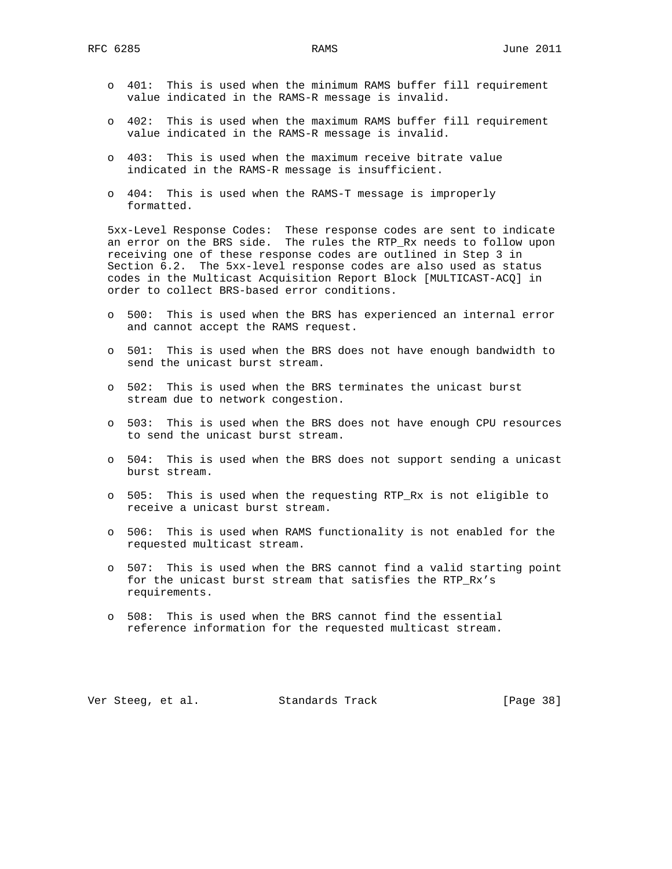- o 401: This is used when the minimum RAMS buffer fill requirement value indicated in the RAMS-R message is invalid.
- o 402: This is used when the maximum RAMS buffer fill requirement value indicated in the RAMS-R message is invalid.
- o 403: This is used when the maximum receive bitrate value indicated in the RAMS-R message is insufficient.
- o 404: This is used when the RAMS-T message is improperly formatted.

 5xx-Level Response Codes: These response codes are sent to indicate an error on the BRS side. The rules the RTP\_Rx needs to follow upon receiving one of these response codes are outlined in Step 3 in Section 6.2. The 5xx-level response codes are also used as status codes in the Multicast Acquisition Report Block [MULTICAST-ACQ] in order to collect BRS-based error conditions.

- o 500: This is used when the BRS has experienced an internal error and cannot accept the RAMS request.
- o 501: This is used when the BRS does not have enough bandwidth to send the unicast burst stream.
- o 502: This is used when the BRS terminates the unicast burst stream due to network congestion.
- o 503: This is used when the BRS does not have enough CPU resources to send the unicast burst stream.
- o 504: This is used when the BRS does not support sending a unicast burst stream.
- o 505: This is used when the requesting RTP\_Rx is not eligible to receive a unicast burst stream.
- o 506: This is used when RAMS functionality is not enabled for the requested multicast stream.
- o 507: This is used when the BRS cannot find a valid starting point for the unicast burst stream that satisfies the RTP\_Rx's requirements.
- o 508: This is used when the BRS cannot find the essential reference information for the requested multicast stream.

Ver Steeg, et al. Standards Track [Page 38]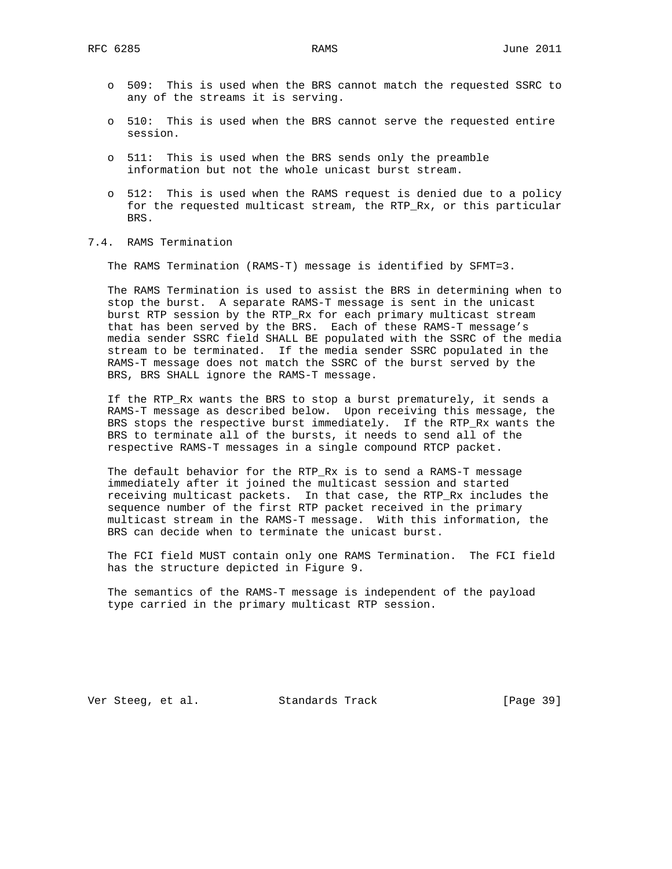- o 509: This is used when the BRS cannot match the requested SSRC to any of the streams it is serving.
- o 510: This is used when the BRS cannot serve the requested entire session.
- o 511: This is used when the BRS sends only the preamble information but not the whole unicast burst stream.
- o 512: This is used when the RAMS request is denied due to a policy for the requested multicast stream, the RTP\_Rx, or this particular BRS.
- 7.4. RAMS Termination

The RAMS Termination (RAMS-T) message is identified by SFMT=3.

 The RAMS Termination is used to assist the BRS in determining when to stop the burst. A separate RAMS-T message is sent in the unicast burst RTP session by the RTP\_Rx for each primary multicast stream that has been served by the BRS. Each of these RAMS-T message's media sender SSRC field SHALL BE populated with the SSRC of the media stream to be terminated. If the media sender SSRC populated in the RAMS-T message does not match the SSRC of the burst served by the BRS, BRS SHALL ignore the RAMS-T message.

 If the RTP\_Rx wants the BRS to stop a burst prematurely, it sends a RAMS-T message as described below. Upon receiving this message, the BRS stops the respective burst immediately. If the RTP\_Rx wants the BRS to terminate all of the bursts, it needs to send all of the respective RAMS-T messages in a single compound RTCP packet.

 The default behavior for the RTP\_Rx is to send a RAMS-T message immediately after it joined the multicast session and started receiving multicast packets. In that case, the RTP\_Rx includes the sequence number of the first RTP packet received in the primary multicast stream in the RAMS-T message. With this information, the BRS can decide when to terminate the unicast burst.

 The FCI field MUST contain only one RAMS Termination. The FCI field has the structure depicted in Figure 9.

 The semantics of the RAMS-T message is independent of the payload type carried in the primary multicast RTP session.

Ver Steeg, et al. Standards Track [Page 39]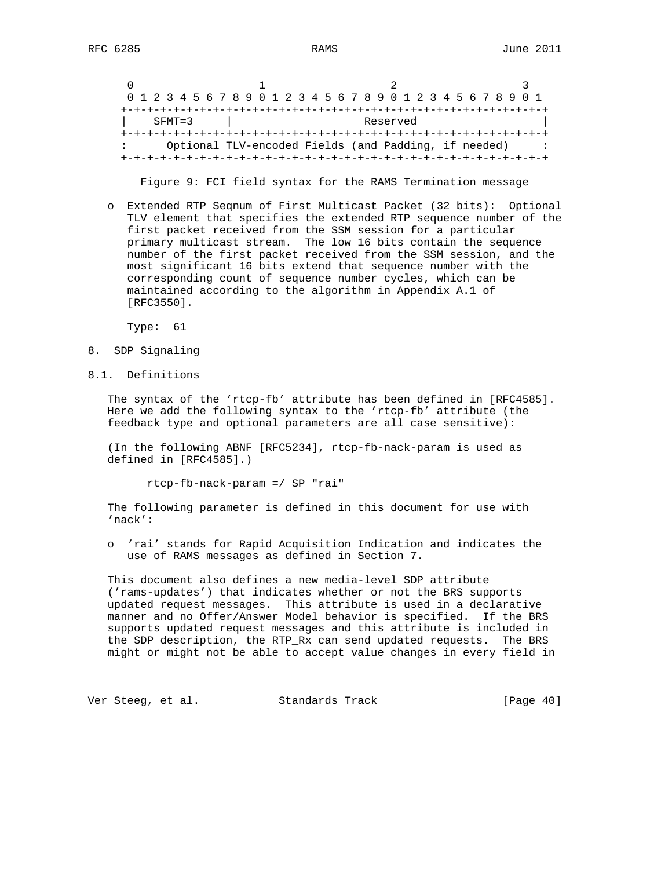|            |  |  |  |  |  |  |  |  |  |  | 0 1 2 3 4 5 6 7 8 9 0 1 2 3 4 5 6 7 8 9 0 1 2 3 4 5 6 7 8 9 0 1 |          |  |  |  |  |  |  |  |
|------------|--|--|--|--|--|--|--|--|--|--|-----------------------------------------------------------------|----------|--|--|--|--|--|--|--|
|            |  |  |  |  |  |  |  |  |  |  |                                                                 |          |  |  |  |  |  |  |  |
| $SFMT = 3$ |  |  |  |  |  |  |  |  |  |  |                                                                 | Reserved |  |  |  |  |  |  |  |
|            |  |  |  |  |  |  |  |  |  |  |                                                                 |          |  |  |  |  |  |  |  |
|            |  |  |  |  |  |  |  |  |  |  | Optional TLV-encoded Fields (and Padding, if needed)            |          |  |  |  |  |  |  |  |
|            |  |  |  |  |  |  |  |  |  |  |                                                                 |          |  |  |  |  |  |  |  |

Figure 9: FCI field syntax for the RAMS Termination message

 o Extended RTP Seqnum of First Multicast Packet (32 bits): Optional TLV element that specifies the extended RTP sequence number of the first packet received from the SSM session for a particular primary multicast stream. The low 16 bits contain the sequence number of the first packet received from the SSM session, and the most significant 16 bits extend that sequence number with the corresponding count of sequence number cycles, which can be maintained according to the algorithm in Appendix A.1 of [RFC3550].

Type: 61

- 8. SDP Signaling
- 8.1. Definitions

 The syntax of the 'rtcp-fb' attribute has been defined in [RFC4585]. Here we add the following syntax to the 'rtcp-fb' attribute (the feedback type and optional parameters are all case sensitive):

 (In the following ABNF [RFC5234], rtcp-fb-nack-param is used as defined in [RFC4585].)

rtcp-fb-nack-param =/ SP "rai"

 The following parameter is defined in this document for use with 'nack':

 o 'rai' stands for Rapid Acquisition Indication and indicates the use of RAMS messages as defined in Section 7.

 This document also defines a new media-level SDP attribute ('rams-updates') that indicates whether or not the BRS supports updated request messages. This attribute is used in a declarative manner and no Offer/Answer Model behavior is specified. If the BRS supports updated request messages and this attribute is included in the SDP description, the RTP\_Rx can send updated requests. The BRS might or might not be able to accept value changes in every field in

Ver Steeg, et al. Standards Track [Page 40]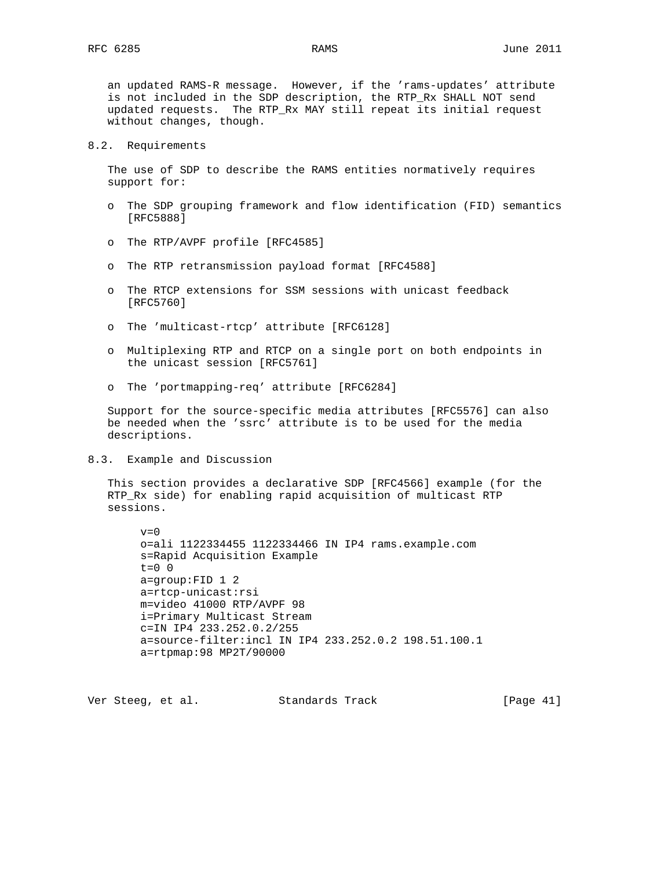an updated RAMS-R message. However, if the 'rams-updates' attribute is not included in the SDP description, the RTP\_Rx SHALL NOT send updated requests. The RTP\_Rx MAY still repeat its initial request without changes, though.

### 8.2. Requirements

 The use of SDP to describe the RAMS entities normatively requires support for:

- o The SDP grouping framework and flow identification (FID) semantics [RFC5888]
- o The RTP/AVPF profile [RFC4585]
- o The RTP retransmission payload format [RFC4588]
- o The RTCP extensions for SSM sessions with unicast feedback [RFC5760]
- o The 'multicast-rtcp' attribute [RFC6128]
- o Multiplexing RTP and RTCP on a single port on both endpoints in the unicast session [RFC5761]
- o The 'portmapping-req' attribute [RFC6284]

 Support for the source-specific media attributes [RFC5576] can also be needed when the 'ssrc' attribute is to be used for the media descriptions.

8.3. Example and Discussion

 This section provides a declarative SDP [RFC4566] example (for the RTP\_Rx side) for enabling rapid acquisition of multicast RTP sessions.

```
v=0 o=ali 1122334455 1122334466 IN IP4 rams.example.com
 s=Rapid Acquisition Example
t=0 0
 a=group:FID 1 2
 a=rtcp-unicast:rsi
 m=video 41000 RTP/AVPF 98
 i=Primary Multicast Stream
 c=IN IP4 233.252.0.2/255
 a=source-filter:incl IN IP4 233.252.0.2 198.51.100.1
 a=rtpmap:98 MP2T/90000
```
Ver Steeg, et al. Standards Track [Page 41]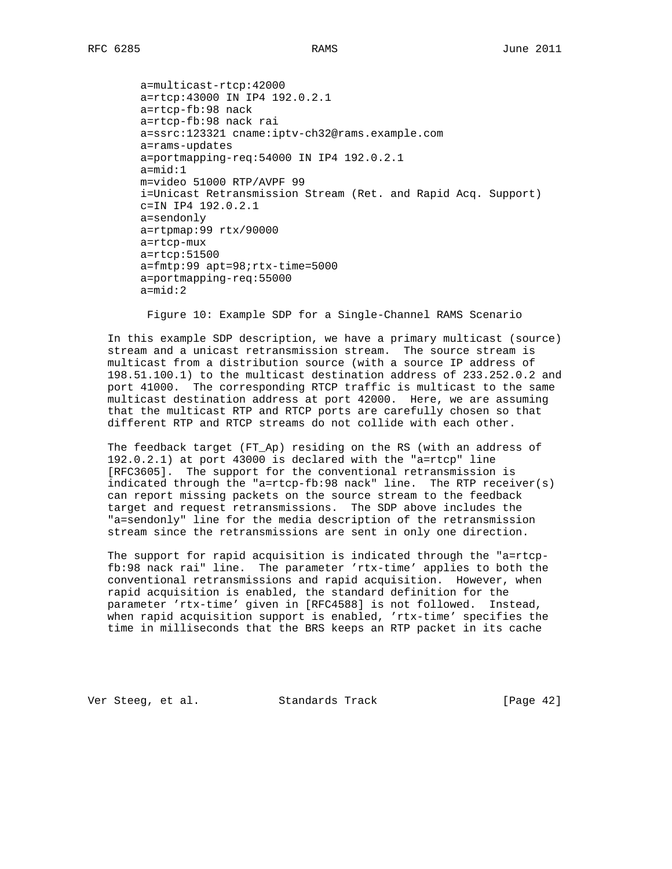a=multicast-rtcp:42000 a=rtcp:43000 IN IP4 192.0.2.1 a=rtcp-fb:98 nack a=rtcp-fb:98 nack rai a=ssrc:123321 cname:iptv-ch32@rams.example.com a=rams-updates a=portmapping-req:54000 IN IP4 192.0.2.1 a=mid:1 m=video 51000 RTP/AVPF 99 i=Unicast Retransmission Stream (Ret. and Rapid Acq. Support) c=IN IP4 192.0.2.1 a=sendonly a=rtpmap:99 rtx/90000 a=rtcp-mux a=rtcp:51500 a=fmtp:99 apt=98;rtx-time=5000 a=portmapping-req:55000 a=mid:2

Figure 10: Example SDP for a Single-Channel RAMS Scenario

 In this example SDP description, we have a primary multicast (source) stream and a unicast retransmission stream. The source stream is multicast from a distribution source (with a source IP address of 198.51.100.1) to the multicast destination address of 233.252.0.2 and port 41000. The corresponding RTCP traffic is multicast to the same multicast destination address at port 42000. Here, we are assuming that the multicast RTP and RTCP ports are carefully chosen so that different RTP and RTCP streams do not collide with each other.

 The feedback target (FT\_Ap) residing on the RS (with an address of 192.0.2.1) at port 43000 is declared with the "a=rtcp" line [RFC3605]. The support for the conventional retransmission is indicated through the "a=rtcp-fb:98 nack" line. The RTP receiver(s) can report missing packets on the source stream to the feedback target and request retransmissions. The SDP above includes the "a=sendonly" line for the media description of the retransmission stream since the retransmissions are sent in only one direction.

 The support for rapid acquisition is indicated through the "a=rtcp fb:98 nack rai" line. The parameter 'rtx-time' applies to both the conventional retransmissions and rapid acquisition. However, when rapid acquisition is enabled, the standard definition for the parameter 'rtx-time' given in [RFC4588] is not followed. Instead, when rapid acquisition support is enabled, 'rtx-time' specifies the time in milliseconds that the BRS keeps an RTP packet in its cache

Ver Steeg, et al. Standards Track [Page 42]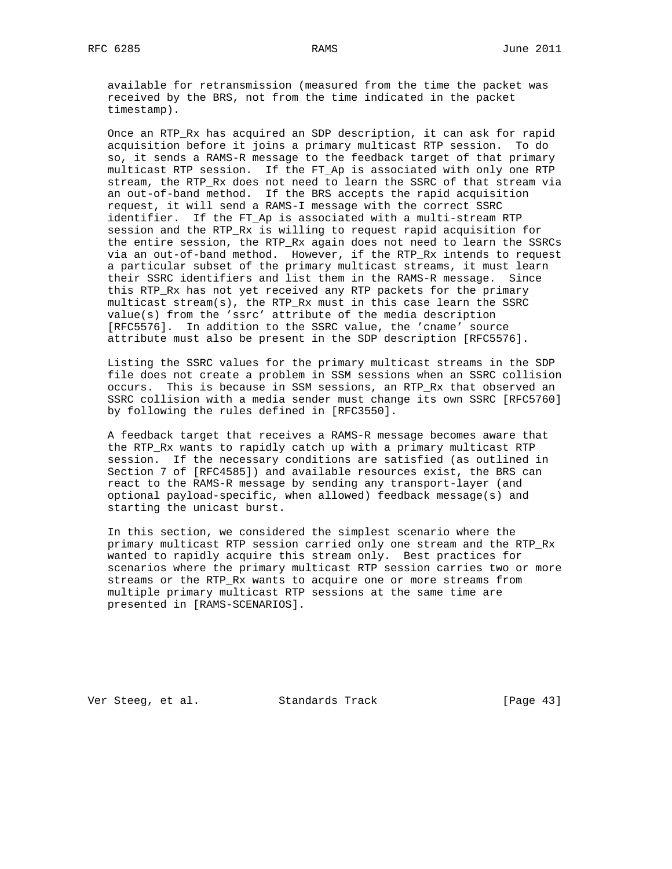available for retransmission (measured from the time the packet was received by the BRS, not from the time indicated in the packet timestamp).

 Once an RTP\_Rx has acquired an SDP description, it can ask for rapid acquisition before it joins a primary multicast RTP session. To do so, it sends a RAMS-R message to the feedback target of that primary multicast RTP session. If the FT\_Ap is associated with only one RTP stream, the RTP\_Rx does not need to learn the SSRC of that stream via an out-of-band method. If the BRS accepts the rapid acquisition request, it will send a RAMS-I message with the correct SSRC identifier. If the FT\_Ap is associated with a multi-stream RTP session and the RTP\_Rx is willing to request rapid acquisition for the entire session, the RTP\_Rx again does not need to learn the SSRCs via an out-of-band method. However, if the RTP\_Rx intends to request a particular subset of the primary multicast streams, it must learn their SSRC identifiers and list them in the RAMS-R message. Since this RTP\_Rx has not yet received any RTP packets for the primary multicast stream(s), the RTP\_Rx must in this case learn the SSRC value(s) from the 'ssrc' attribute of the media description [RFC5576]. In addition to the SSRC value, the 'cname' source attribute must also be present in the SDP description [RFC5576].

 Listing the SSRC values for the primary multicast streams in the SDP file does not create a problem in SSM sessions when an SSRC collision occurs. This is because in SSM sessions, an RTP\_Rx that observed an SSRC collision with a media sender must change its own SSRC [RFC5760] by following the rules defined in [RFC3550].

 A feedback target that receives a RAMS-R message becomes aware that the RTP\_Rx wants to rapidly catch up with a primary multicast RTP session. If the necessary conditions are satisfied (as outlined in Section 7 of [RFC4585]) and available resources exist, the BRS can react to the RAMS-R message by sending any transport-layer (and optional payload-specific, when allowed) feedback message(s) and starting the unicast burst.

 In this section, we considered the simplest scenario where the primary multicast RTP session carried only one stream and the RTP\_Rx wanted to rapidly acquire this stream only. Best practices for scenarios where the primary multicast RTP session carries two or more streams or the RTP\_Rx wants to acquire one or more streams from multiple primary multicast RTP sessions at the same time are presented in [RAMS-SCENARIOS].

Ver Steeg, et al. Standards Track [Page 43]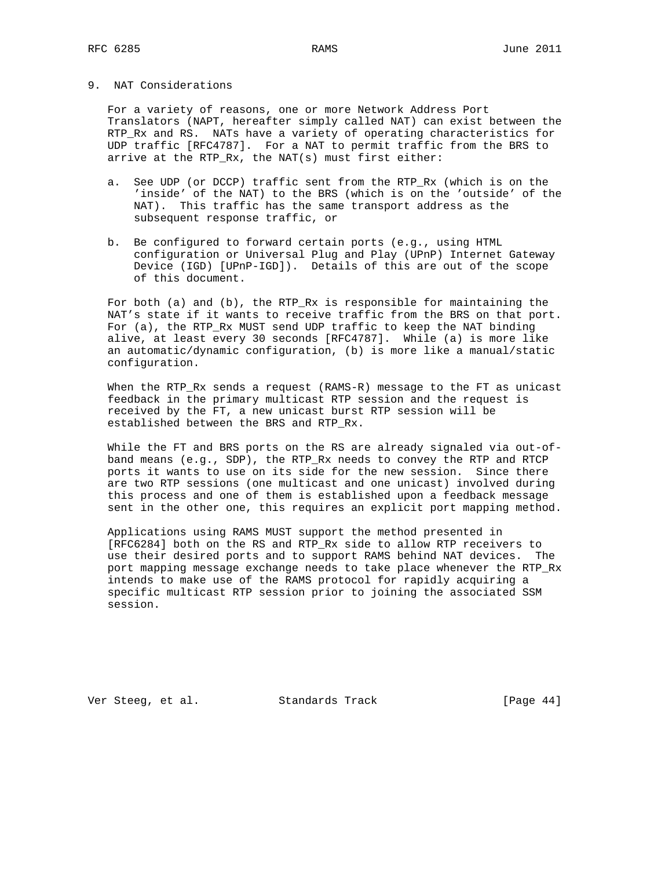## 9. NAT Considerations

 For a variety of reasons, one or more Network Address Port Translators (NAPT, hereafter simply called NAT) can exist between the RTP\_Rx and RS. NATs have a variety of operating characteristics for UDP traffic [RFC4787]. For a NAT to permit traffic from the BRS to arrive at the RTP\_Rx, the NAT(s) must first either:

- a. See UDP (or DCCP) traffic sent from the RTP\_Rx (which is on the 'inside' of the NAT) to the BRS (which is on the 'outside' of the NAT). This traffic has the same transport address as the subsequent response traffic, or
- b. Be configured to forward certain ports (e.g., using HTML configuration or Universal Plug and Play (UPnP) Internet Gateway Device (IGD) [UPnP-IGD]). Details of this are out of the scope of this document.

 For both (a) and (b), the RTP\_Rx is responsible for maintaining the NAT's state if it wants to receive traffic from the BRS on that port. For (a), the RTP\_Rx MUST send UDP traffic to keep the NAT binding alive, at least every 30 seconds [RFC4787]. While (a) is more like an automatic/dynamic configuration, (b) is more like a manual/static configuration.

 When the RTP\_Rx sends a request (RAMS-R) message to the FT as unicast feedback in the primary multicast RTP session and the request is received by the FT, a new unicast burst RTP session will be established between the BRS and RTP\_Rx.

 While the FT and BRS ports on the RS are already signaled via out-of band means (e.g., SDP), the RTP\_Rx needs to convey the RTP and RTCP ports it wants to use on its side for the new session. Since there are two RTP sessions (one multicast and one unicast) involved during this process and one of them is established upon a feedback message sent in the other one, this requires an explicit port mapping method.

 Applications using RAMS MUST support the method presented in [RFC6284] both on the RS and RTP\_Rx side to allow RTP receivers to use their desired ports and to support RAMS behind NAT devices. The port mapping message exchange needs to take place whenever the RTP\_Rx intends to make use of the RAMS protocol for rapidly acquiring a specific multicast RTP session prior to joining the associated SSM session.

Ver Steeg, et al. Standards Track [Page 44]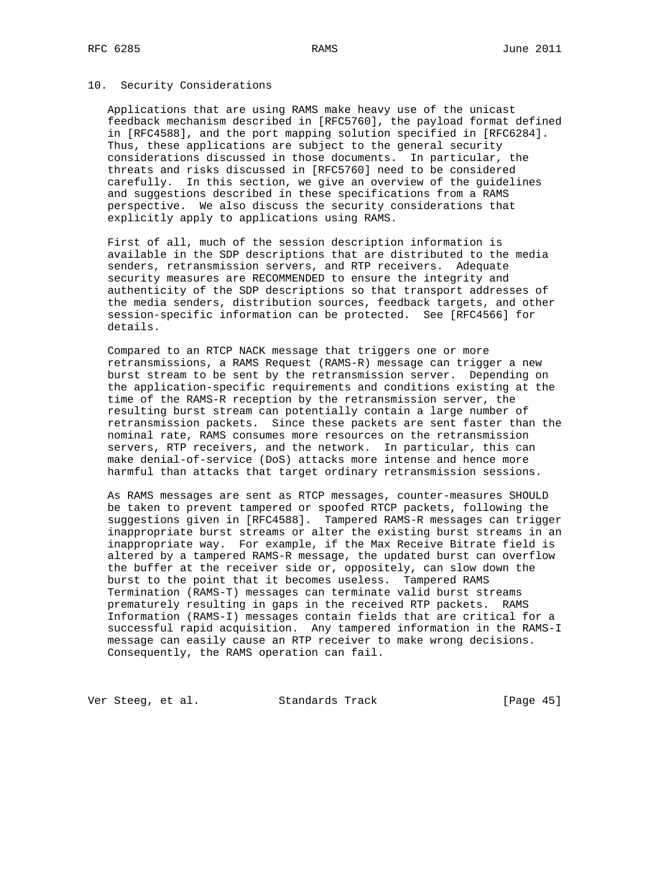### 10. Security Considerations

 Applications that are using RAMS make heavy use of the unicast feedback mechanism described in [RFC5760], the payload format defined in [RFC4588], and the port mapping solution specified in [RFC6284]. Thus, these applications are subject to the general security considerations discussed in those documents. In particular, the threats and risks discussed in [RFC5760] need to be considered carefully. In this section, we give an overview of the guidelines and suggestions described in these specifications from a RAMS perspective. We also discuss the security considerations that explicitly apply to applications using RAMS.

 First of all, much of the session description information is available in the SDP descriptions that are distributed to the media senders, retransmission servers, and RTP receivers. Adequate security measures are RECOMMENDED to ensure the integrity and authenticity of the SDP descriptions so that transport addresses of the media senders, distribution sources, feedback targets, and other session-specific information can be protected. See [RFC4566] for details.

 Compared to an RTCP NACK message that triggers one or more retransmissions, a RAMS Request (RAMS-R) message can trigger a new burst stream to be sent by the retransmission server. Depending on the application-specific requirements and conditions existing at the time of the RAMS-R reception by the retransmission server, the resulting burst stream can potentially contain a large number of retransmission packets. Since these packets are sent faster than the nominal rate, RAMS consumes more resources on the retransmission servers, RTP receivers, and the network. In particular, this can make denial-of-service (DoS) attacks more intense and hence more harmful than attacks that target ordinary retransmission sessions.

 As RAMS messages are sent as RTCP messages, counter-measures SHOULD be taken to prevent tampered or spoofed RTCP packets, following the suggestions given in [RFC4588]. Tampered RAMS-R messages can trigger inappropriate burst streams or alter the existing burst streams in an inappropriate way. For example, if the Max Receive Bitrate field is altered by a tampered RAMS-R message, the updated burst can overflow the buffer at the receiver side or, oppositely, can slow down the burst to the point that it becomes useless. Tampered RAMS Termination (RAMS-T) messages can terminate valid burst streams prematurely resulting in gaps in the received RTP packets. RAMS Information (RAMS-I) messages contain fields that are critical for a successful rapid acquisition. Any tampered information in the RAMS-I message can easily cause an RTP receiver to make wrong decisions. Consequently, the RAMS operation can fail.

Ver Steeg, et al. Standards Track [Page 45]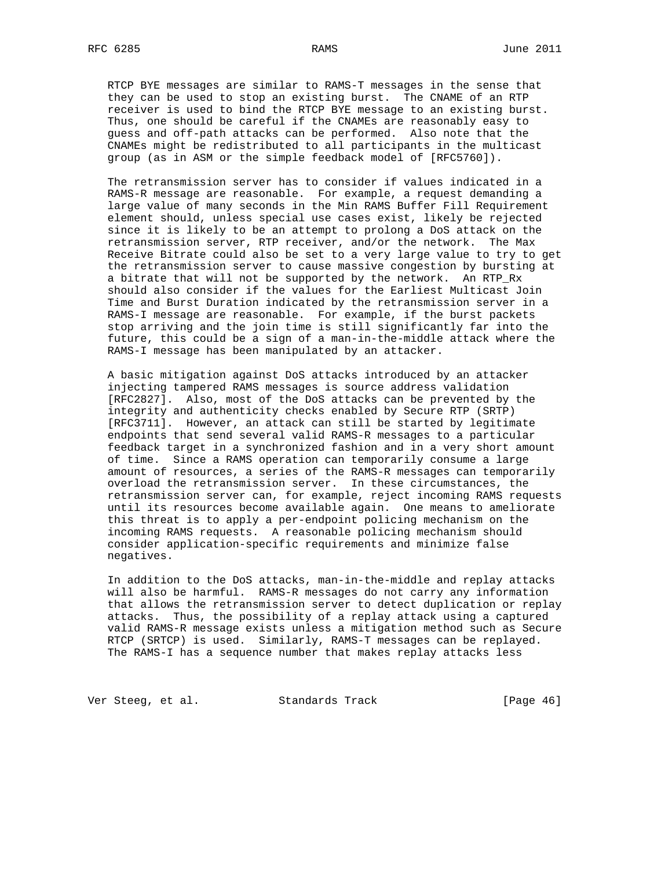RTCP BYE messages are similar to RAMS-T messages in the sense that they can be used to stop an existing burst. The CNAME of an RTP receiver is used to bind the RTCP BYE message to an existing burst. Thus, one should be careful if the CNAMEs are reasonably easy to guess and off-path attacks can be performed. Also note that the CNAMEs might be redistributed to all participants in the multicast group (as in ASM or the simple feedback model of [RFC5760]).

 The retransmission server has to consider if values indicated in a RAMS-R message are reasonable. For example, a request demanding a large value of many seconds in the Min RAMS Buffer Fill Requirement element should, unless special use cases exist, likely be rejected since it is likely to be an attempt to prolong a DoS attack on the retransmission server, RTP receiver, and/or the network. The Max Receive Bitrate could also be set to a very large value to try to get the retransmission server to cause massive congestion by bursting at a bitrate that will not be supported by the network. An RTP\_Rx should also consider if the values for the Earliest Multicast Join Time and Burst Duration indicated by the retransmission server in a RAMS-I message are reasonable. For example, if the burst packets stop arriving and the join time is still significantly far into the future, this could be a sign of a man-in-the-middle attack where the RAMS-I message has been manipulated by an attacker.

 A basic mitigation against DoS attacks introduced by an attacker injecting tampered RAMS messages is source address validation [RFC2827]. Also, most of the DoS attacks can be prevented by the integrity and authenticity checks enabled by Secure RTP (SRTP) [RFC3711]. However, an attack can still be started by legitimate endpoints that send several valid RAMS-R messages to a particular feedback target in a synchronized fashion and in a very short amount of time. Since a RAMS operation can temporarily consume a large amount of resources, a series of the RAMS-R messages can temporarily overload the retransmission server. In these circumstances, the retransmission server can, for example, reject incoming RAMS requests until its resources become available again. One means to ameliorate this threat is to apply a per-endpoint policing mechanism on the incoming RAMS requests. A reasonable policing mechanism should consider application-specific requirements and minimize false negatives.

 In addition to the DoS attacks, man-in-the-middle and replay attacks will also be harmful. RAMS-R messages do not carry any information that allows the retransmission server to detect duplication or replay attacks. Thus, the possibility of a replay attack using a captured valid RAMS-R message exists unless a mitigation method such as Secure RTCP (SRTCP) is used. Similarly, RAMS-T messages can be replayed. The RAMS-I has a sequence number that makes replay attacks less

Ver Steeg, et al. Standards Track [Page 46]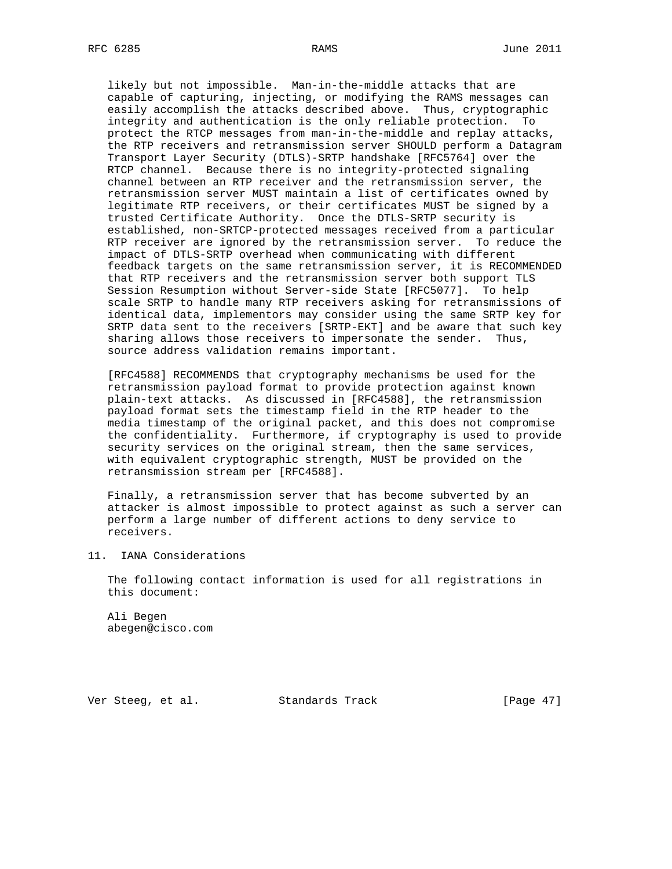likely but not impossible. Man-in-the-middle attacks that are capable of capturing, injecting, or modifying the RAMS messages can easily accomplish the attacks described above. Thus, cryptographic integrity and authentication is the only reliable protection. To protect the RTCP messages from man-in-the-middle and replay attacks, the RTP receivers and retransmission server SHOULD perform a Datagram Transport Layer Security (DTLS)-SRTP handshake [RFC5764] over the RTCP channel. Because there is no integrity-protected signaling channel between an RTP receiver and the retransmission server, the retransmission server MUST maintain a list of certificates owned by legitimate RTP receivers, or their certificates MUST be signed by a trusted Certificate Authority. Once the DTLS-SRTP security is established, non-SRTCP-protected messages received from a particular RTP receiver are ignored by the retransmission server. To reduce the impact of DTLS-SRTP overhead when communicating with different feedback targets on the same retransmission server, it is RECOMMENDED that RTP receivers and the retransmission server both support TLS Session Resumption without Server-side State [RFC5077]. To help scale SRTP to handle many RTP receivers asking for retransmissions of identical data, implementors may consider using the same SRTP key for SRTP data sent to the receivers [SRTP-EKT] and be aware that such key sharing allows those receivers to impersonate the sender. Thus, source address validation remains important.

 [RFC4588] RECOMMENDS that cryptography mechanisms be used for the retransmission payload format to provide protection against known plain-text attacks. As discussed in [RFC4588], the retransmission payload format sets the timestamp field in the RTP header to the media timestamp of the original packet, and this does not compromise the confidentiality. Furthermore, if cryptography is used to provide security services on the original stream, then the same services, with equivalent cryptographic strength, MUST be provided on the retransmission stream per [RFC4588].

 Finally, a retransmission server that has become subverted by an attacker is almost impossible to protect against as such a server can perform a large number of different actions to deny service to receivers.

## 11. IANA Considerations

 The following contact information is used for all registrations in this document:

 Ali Begen abegen@cisco.com

Ver Steeg, et al. Standards Track [Page 47]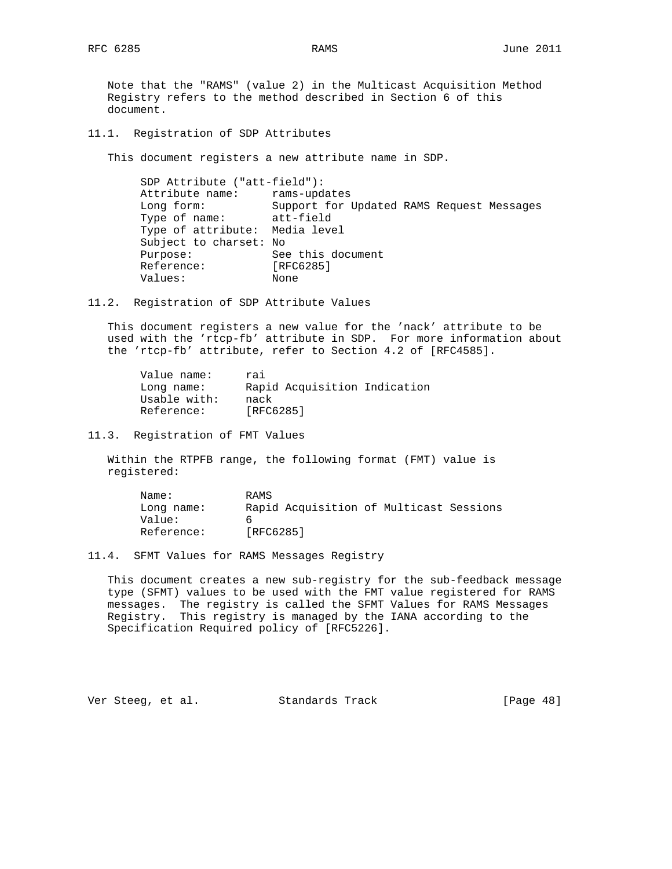Note that the "RAMS" (value 2) in the Multicast Acquisition Method Registry refers to the method described in Section 6 of this document.

11.1. Registration of SDP Attributes

This document registers a new attribute name in SDP.

 SDP Attribute ("att-field"): Attribute name: rams-updates Long form: Support for Updated RAMS Request Messages Type of name: att-field Type of attribute: Media level Subject to charset: No Purpose: See this document Reference: [RFC6285] Purpose:<br>Reference: [RFC<br>Values: None

11.2. Registration of SDP Attribute Values

 This document registers a new value for the 'nack' attribute to be used with the 'rtcp-fb' attribute in SDP. For more information about the 'rtcp-fb' attribute, refer to Section 4.2 of [RFC4585].

| Value name:  | rai                          |
|--------------|------------------------------|
| Long name:   | Rapid Acquisition Indication |
| Usable with: | nack                         |
| Reference:   | [RFC6285]                    |

11.3. Registration of FMT Values

 Within the RTPFB range, the following format (FMT) value is registered:

| Name:      | RAMS                                    |  |
|------------|-----------------------------------------|--|
| Long name: | Rapid Acquisition of Multicast Sessions |  |
| Value:     |                                         |  |
| Reference: | [RFC6285]                               |  |

11.4. SFMT Values for RAMS Messages Registry

 This document creates a new sub-registry for the sub-feedback message type (SFMT) values to be used with the FMT value registered for RAMS messages. The registry is called the SFMT Values for RAMS Messages Registry. This registry is managed by the IANA according to the Specification Required policy of [RFC5226].

Ver Steeg, et al. Standards Track [Page 48]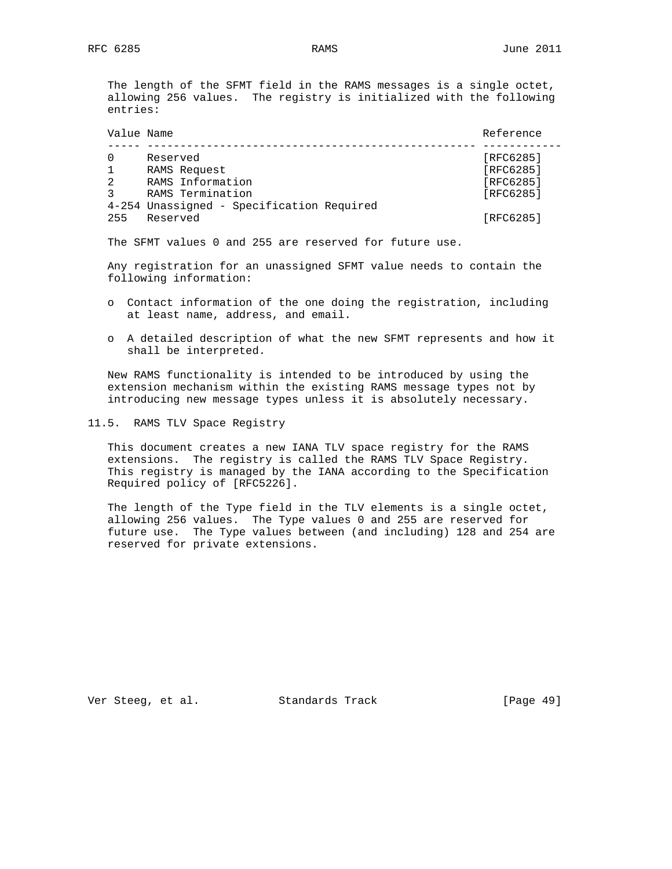The length of the SFMT field in the RAMS messages is a single octet, allowing 256 values. The registry is initialized with the following entries:

| Value Name |                                           | Reference        |
|------------|-------------------------------------------|------------------|
|            | Reserved                                  | [RFC6285]        |
|            | RAMS Request                              | [RFC6285]        |
| 2          | RAMS Information                          | [RFC6285]        |
|            | RAMS Termination                          | <b>[RFC6285]</b> |
|            | 4-254 Unassigned - Specification Required |                  |
| 255        | Reserved                                  | [RFC6285]        |

The SFMT values 0 and 255 are reserved for future use.

 Any registration for an unassigned SFMT value needs to contain the following information:

- o Contact information of the one doing the registration, including at least name, address, and email.
- o A detailed description of what the new SFMT represents and how it shall be interpreted.

 New RAMS functionality is intended to be introduced by using the extension mechanism within the existing RAMS message types not by introducing new message types unless it is absolutely necessary.

11.5. RAMS TLV Space Registry

 This document creates a new IANA TLV space registry for the RAMS extensions. The registry is called the RAMS TLV Space Registry. This registry is managed by the IANA according to the Specification Required policy of [RFC5226].

 The length of the Type field in the TLV elements is a single octet, allowing 256 values. The Type values 0 and 255 are reserved for future use. The Type values between (and including) 128 and 254 are reserved for private extensions.

Ver Steeg, et al. Standards Track [Page 49]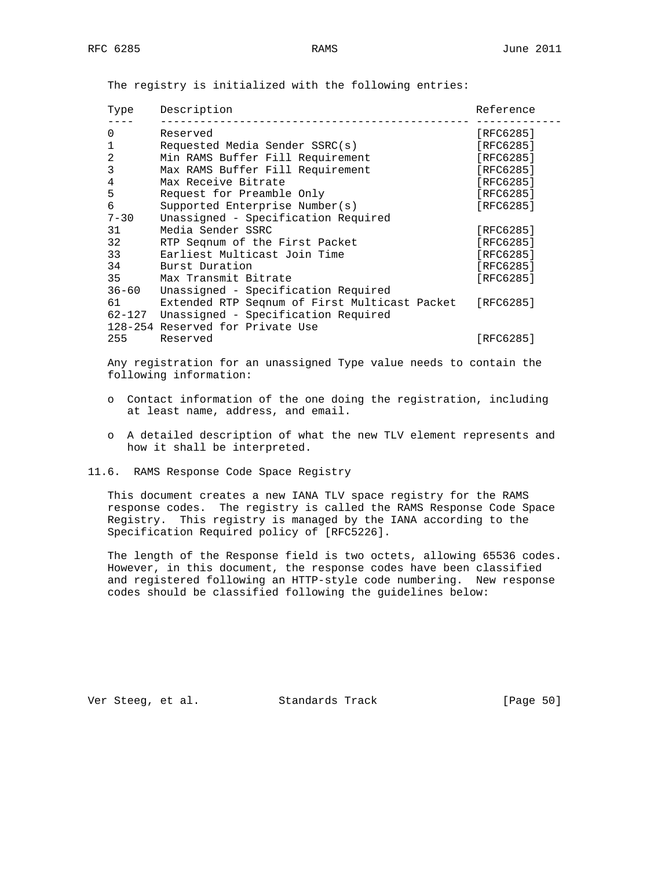| Type      | Description                                   | Reference |
|-----------|-----------------------------------------------|-----------|
| $\Omega$  | Reserved                                      | [RFC6285] |
| 1         | Requested Media Sender SSRC(s)                | [RFC6285] |
| 2         | Min RAMS Buffer Fill Requirement              | [RFC6285] |
| 3         | Max RAMS Buffer Fill Requirement              | [RFC6285] |
| 4         | Max Receive Bitrate                           | [RFC6285] |
| 5         | Request for Preamble Only                     | [RFC6285] |
| 6         | Supported Enterprise Number(s)                | [RFC6285] |
| $7 - 30$  | Unassigned - Specification Required           |           |
| 31        | Media Sender SSRC                             | [RFC6285] |
| 32        | RTP Seqnum of the First Packet                | [RFC6285] |
| 33        | Earliest Multicast Join Time                  | [RFC6285] |
| 34        | Burst Duration                                | [RFC6285] |
| 35        | Max Transmit Bitrate                          | [RFC6285] |
| $36 - 60$ | Unassigned - Specification Required           |           |
| 61        | Extended RTP Segnum of First Multicast Packet | [RFC6285] |
|           | 62-127 Unassigned - Specification Required    |           |
|           | 128-254 Reserved for Private Use              |           |
| 255       | Reserved                                      | [RFC6285] |
|           |                                               |           |

The registry is initialized with the following entries:

 Any registration for an unassigned Type value needs to contain the following information:

- o Contact information of the one doing the registration, including at least name, address, and email.
- o A detailed description of what the new TLV element represents and how it shall be interpreted.
- 11.6. RAMS Response Code Space Registry

 This document creates a new IANA TLV space registry for the RAMS response codes. The registry is called the RAMS Response Code Space Registry. This registry is managed by the IANA according to the Specification Required policy of [RFC5226].

 The length of the Response field is two octets, allowing 65536 codes. However, in this document, the response codes have been classified and registered following an HTTP-style code numbering. New response codes should be classified following the guidelines below:

Ver Steeg, et al. Standards Track [Page 50]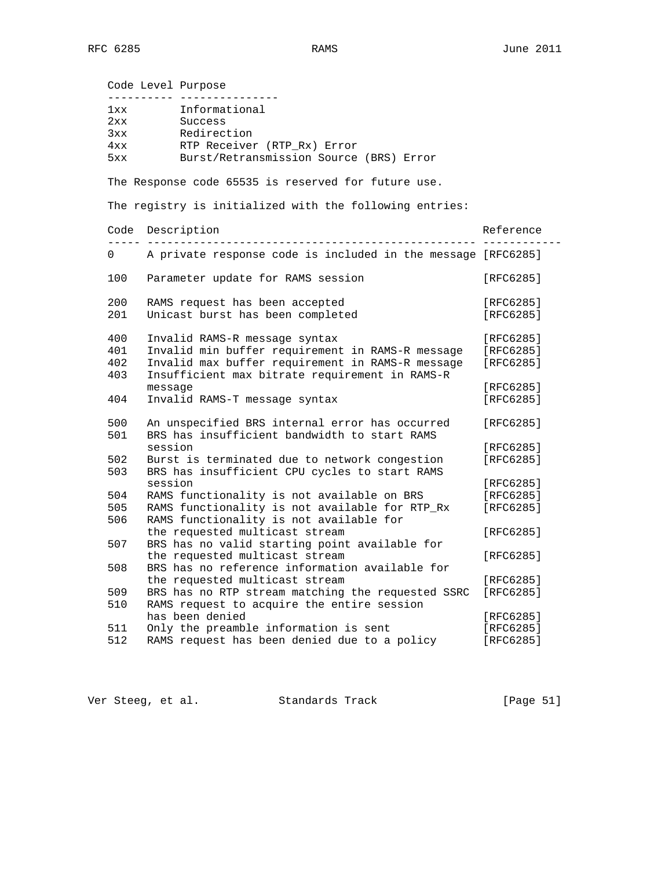Code Level Purpose ---------- --------------- 1xx Informational 2xx Success<br>3xx Redirect 3xx Redirection<br>4xx RTP Receiver 4xx RTP Receiver (RTP\_Rx) Error 5xx Burst/Retransmission Source (BRS) Error The Response code 65535 is reserved for future use. The registry is initialized with the following entries: Code Description and the contract of the Reference Reference ----- -------------------------------------------------- ------------ 0 A private response code is included in the message [RFC6285] 100 Parameter update for RAMS session [RFC6285] 200 RAMS request has been accepted [RFC6285] 201 Unicast burst has been completed [RFC6285] 400 Invalid RAMS-R message syntax [RFC6285] 401 Invalid min buffer requirement in RAMS-R message [RFC6285] 402 Invalid max buffer requirement in RAMS-R message [RFC6285] 403 Insufficient max bitrate requirement in RAMS-R message [RFC6285] 404 Invalid RAMS-T message syntax [RFC6285] 500 An unspecified BRS internal error has occurred [RFC6285] 501 BRS has insufficient bandwidth to start RAMS session [RFC6285] 502 Burst is terminated due to network congestion [RFC6285] 503 BRS has insufficient CPU cycles to start RAMS session in the contract of the contract of  $\sim$  [RFC6285] 504 RAMS functionality is not available on BRS [RFC6285] 505 RAMS functionality is not available for RTP\_Rx [RFC6285] 506 RAMS functionality is not available for the requested multicast stream [RFC6285] 507 BRS has no valid starting point available for the requested multicast stream [RFC6285] 508 BRS has no reference information available for the requested multicast stream [RFC6285] 509 BRS has no RTP stream matching the requested SSRC [RFC6285] 510 RAMS request to acquire the entire session has been denied in the set of the set of the set of the set of the set of the set of the set of the set of the 511 Only the preamble information is sent [RFC6285] 512 RAMS request has been denied due to a policy [RFC6285]

Ver Steeg, et al. Standards Track [Page 51]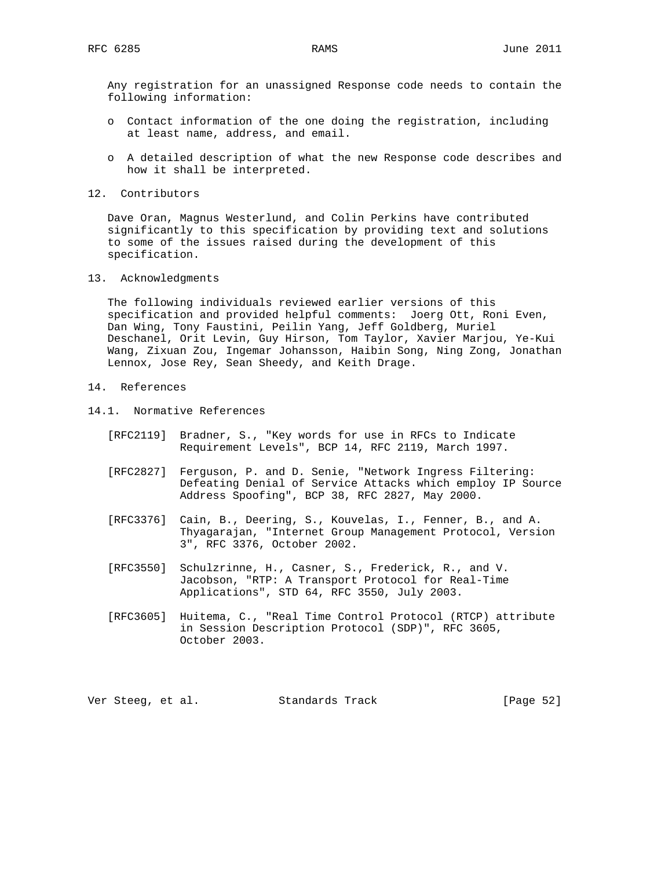Any registration for an unassigned Response code needs to contain the following information:

- o Contact information of the one doing the registration, including at least name, address, and email.
- o A detailed description of what the new Response code describes and how it shall be interpreted.
- 12. Contributors

 Dave Oran, Magnus Westerlund, and Colin Perkins have contributed significantly to this specification by providing text and solutions to some of the issues raised during the development of this specification.

13. Acknowledgments

 The following individuals reviewed earlier versions of this specification and provided helpful comments: Joerg Ott, Roni Even, Dan Wing, Tony Faustini, Peilin Yang, Jeff Goldberg, Muriel Deschanel, Orit Levin, Guy Hirson, Tom Taylor, Xavier Marjou, Ye-Kui Wang, Zixuan Zou, Ingemar Johansson, Haibin Song, Ning Zong, Jonathan Lennox, Jose Rey, Sean Sheedy, and Keith Drage.

## 14. References

- 14.1. Normative References
	- [RFC2119] Bradner, S., "Key words for use in RFCs to Indicate Requirement Levels", BCP 14, RFC 2119, March 1997.
	- [RFC2827] Ferguson, P. and D. Senie, "Network Ingress Filtering: Defeating Denial of Service Attacks which employ IP Source Address Spoofing", BCP 38, RFC 2827, May 2000.
	- [RFC3376] Cain, B., Deering, S., Kouvelas, I., Fenner, B., and A. Thyagarajan, "Internet Group Management Protocol, Version 3", RFC 3376, October 2002.
	- [RFC3550] Schulzrinne, H., Casner, S., Frederick, R., and V. Jacobson, "RTP: A Transport Protocol for Real-Time Applications", STD 64, RFC 3550, July 2003.
	- [RFC3605] Huitema, C., "Real Time Control Protocol (RTCP) attribute in Session Description Protocol (SDP)", RFC 3605, October 2003.

Ver Steeg, et al. Standards Track [Page 52]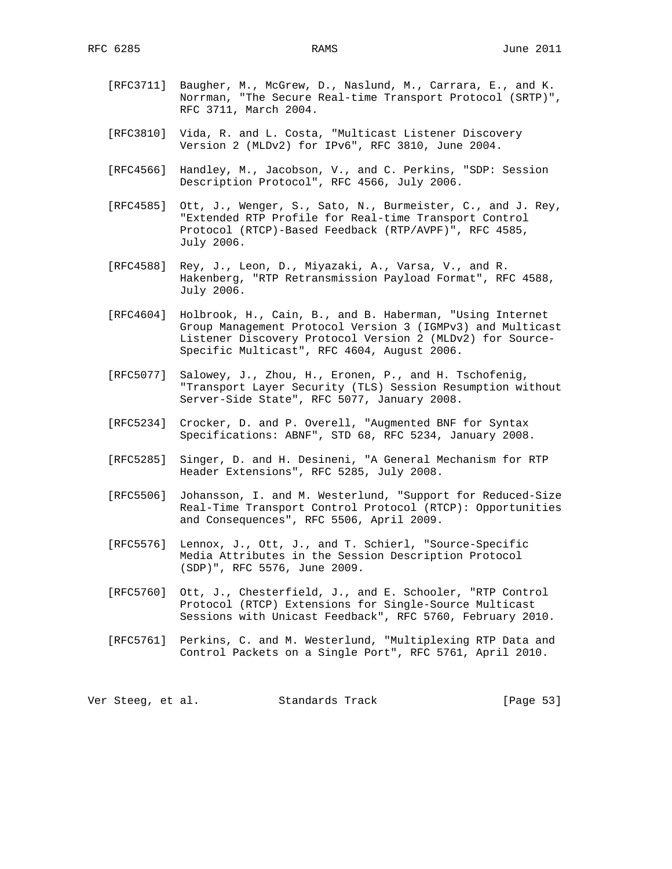- [RFC3711] Baugher, M., McGrew, D., Naslund, M., Carrara, E., and K. Norrman, "The Secure Real-time Transport Protocol (SRTP)", RFC 3711, March 2004.
- [RFC3810] Vida, R. and L. Costa, "Multicast Listener Discovery Version 2 (MLDv2) for IPv6", RFC 3810, June 2004.
- [RFC4566] Handley, M., Jacobson, V., and C. Perkins, "SDP: Session Description Protocol", RFC 4566, July 2006.
- [RFC4585] Ott, J., Wenger, S., Sato, N., Burmeister, C., and J. Rey, "Extended RTP Profile for Real-time Transport Control Protocol (RTCP)-Based Feedback (RTP/AVPF)", RFC 4585, July 2006.
- [RFC4588] Rey, J., Leon, D., Miyazaki, A., Varsa, V., and R. Hakenberg, "RTP Retransmission Payload Format", RFC 4588, July 2006.
- [RFC4604] Holbrook, H., Cain, B., and B. Haberman, "Using Internet Group Management Protocol Version 3 (IGMPv3) and Multicast Listener Discovery Protocol Version 2 (MLDv2) for Source- Specific Multicast", RFC 4604, August 2006.
- [RFC5077] Salowey, J., Zhou, H., Eronen, P., and H. Tschofenig, "Transport Layer Security (TLS) Session Resumption without Server-Side State", RFC 5077, January 2008.
- [RFC5234] Crocker, D. and P. Overell, "Augmented BNF for Syntax Specifications: ABNF", STD 68, RFC 5234, January 2008.
- [RFC5285] Singer, D. and H. Desineni, "A General Mechanism for RTP Header Extensions", RFC 5285, July 2008.
- [RFC5506] Johansson, I. and M. Westerlund, "Support for Reduced-Size Real-Time Transport Control Protocol (RTCP): Opportunities and Consequences", RFC 5506, April 2009.
- [RFC5576] Lennox, J., Ott, J., and T. Schierl, "Source-Specific Media Attributes in the Session Description Protocol (SDP)", RFC 5576, June 2009.
- [RFC5760] Ott, J., Chesterfield, J., and E. Schooler, "RTP Control Protocol (RTCP) Extensions for Single-Source Multicast Sessions with Unicast Feedback", RFC 5760, February 2010.
- [RFC5761] Perkins, C. and M. Westerlund, "Multiplexing RTP Data and Control Packets on a Single Port", RFC 5761, April 2010.

Ver Steeg, et al. Standards Track [Page 53]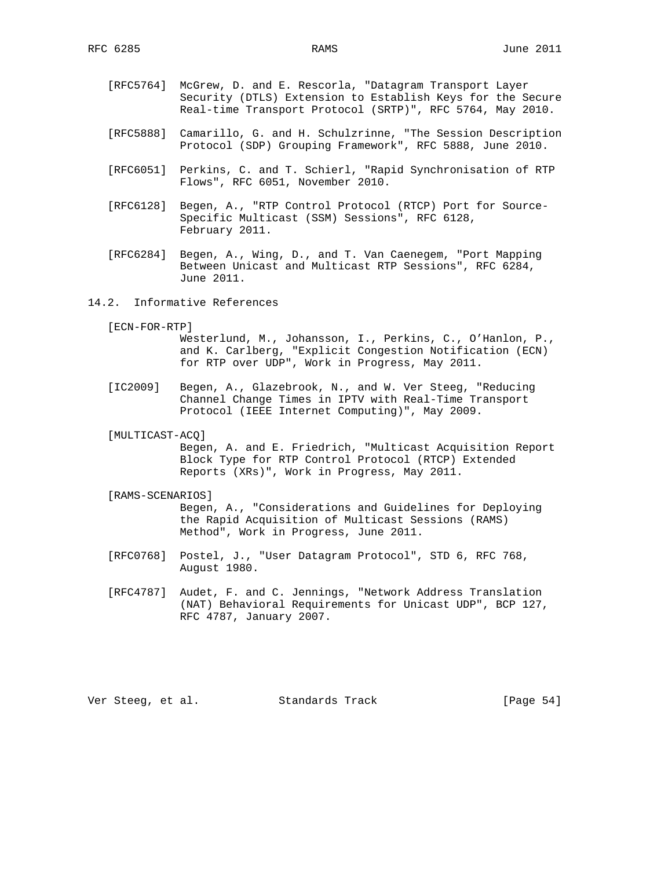- [RFC5764] McGrew, D. and E. Rescorla, "Datagram Transport Layer Security (DTLS) Extension to Establish Keys for the Secure Real-time Transport Protocol (SRTP)", RFC 5764, May 2010.
- [RFC5888] Camarillo, G. and H. Schulzrinne, "The Session Description Protocol (SDP) Grouping Framework", RFC 5888, June 2010.
- [RFC6051] Perkins, C. and T. Schierl, "Rapid Synchronisation of RTP Flows", RFC 6051, November 2010.
- [RFC6128] Begen, A., "RTP Control Protocol (RTCP) Port for Source- Specific Multicast (SSM) Sessions", RFC 6128, February 2011.
- [RFC6284] Begen, A., Wing, D., and T. Van Caenegem, "Port Mapping Between Unicast and Multicast RTP Sessions", RFC 6284, June 2011.
- 14.2. Informative References
	- [ECN-FOR-RTP]
		- Westerlund, M., Johansson, I., Perkins, C., O'Hanlon, P., and K. Carlberg, "Explicit Congestion Notification (ECN) for RTP over UDP", Work in Progress, May 2011.
	- [IC2009] Begen, A., Glazebrook, N., and W. Ver Steeg, "Reducing Channel Change Times in IPTV with Real-Time Transport Protocol (IEEE Internet Computing)", May 2009.
	- [MULTICAST-ACQ]

 Begen, A. and E. Friedrich, "Multicast Acquisition Report Block Type for RTP Control Protocol (RTCP) Extended Reports (XRs)", Work in Progress, May 2011.

#### [RAMS-SCENARIOS]

 Begen, A., "Considerations and Guidelines for Deploying the Rapid Acquisition of Multicast Sessions (RAMS) Method", Work in Progress, June 2011.

- [RFC0768] Postel, J., "User Datagram Protocol", STD 6, RFC 768, August 1980.
- [RFC4787] Audet, F. and C. Jennings, "Network Address Translation (NAT) Behavioral Requirements for Unicast UDP", BCP 127, RFC 4787, January 2007.

Ver Steeg, et al. Standards Track [Page 54]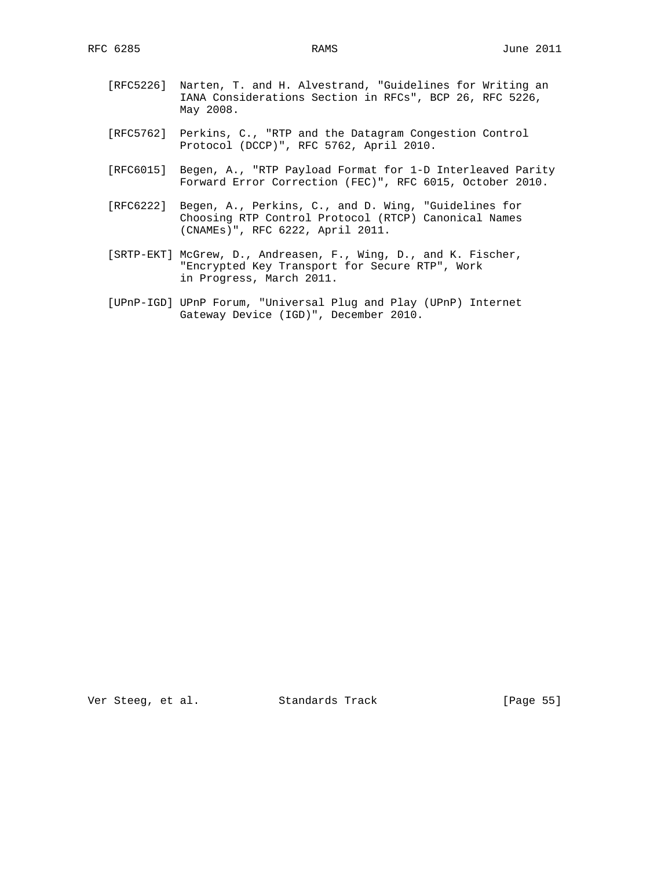- [RFC5226] Narten, T. and H. Alvestrand, "Guidelines for Writing an IANA Considerations Section in RFCs", BCP 26, RFC 5226, May 2008.
- [RFC5762] Perkins, C., "RTP and the Datagram Congestion Control Protocol (DCCP)", RFC 5762, April 2010.
- [RFC6015] Begen, A., "RTP Payload Format for 1-D Interleaved Parity Forward Error Correction (FEC)", RFC 6015, October 2010.
- [RFC6222] Begen, A., Perkins, C., and D. Wing, "Guidelines for Choosing RTP Control Protocol (RTCP) Canonical Names (CNAMEs)", RFC 6222, April 2011.
- [SRTP-EKT] McGrew, D., Andreasen, F., Wing, D., and K. Fischer, "Encrypted Key Transport for Secure RTP", Work in Progress, March 2011.
- [UPnP-IGD] UPnP Forum, "Universal Plug and Play (UPnP) Internet Gateway Device (IGD)", December 2010.